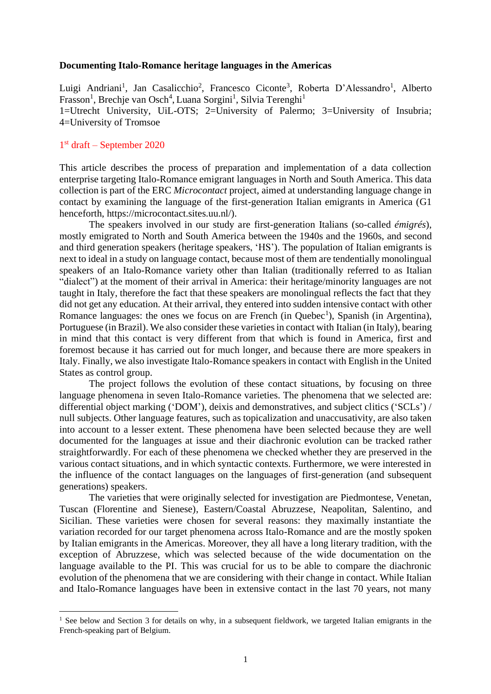#### **Documenting Italo-Romance heritage languages in the Americas**

Luigi Andriani<sup>1</sup>, Jan Casalicchio<sup>2</sup>, Francesco Ciconte<sup>3</sup>, Roberta D'Alessandro<sup>1</sup>, Alberto Frasson<sup>1</sup>, Brechje van Osch<sup>4</sup>, Luana Sorgini<sup>1</sup>, Silvia Terenghi<sup>1</sup> 1=Utrecht University, UiL-OTS; 2=University of Palermo; 3=University of Insubria; 4=University of Tromsoe

### 1 st draft – September 2020

This article describes the process of preparation and implementation of a data collection enterprise targeting Italo-Romance emigrant languages in North and South America. This data collection is part of the ERC *Microcontact* project, aimed at understanding language change in contact by examining the language of the first-generation Italian emigrants in America (G1 henceforth, https://microcontact.sites.uu.nl/).

The speakers involved in our study are first-generation Italians (so-called *émigrés*), mostly emigrated to North and South America between the 1940s and the 1960s, and second and third generation speakers (heritage speakers, 'HS'). The population of Italian emigrants is next to ideal in a study on language contact, because most of them are tendentially monolingual speakers of an Italo-Romance variety other than Italian (traditionally referred to as Italian "dialect") at the moment of their arrival in America: their heritage/minority languages are not taught in Italy, therefore the fact that these speakers are monolingual reflects the fact that they did not get any education. At their arrival, they entered into sudden intensive contact with other Romance languages: the ones we focus on are French (in Quebec<sup>1</sup>), Spanish (in Argentina), Portuguese (in Brazil). We also consider these varieties in contact with Italian (in Italy), bearing in mind that this contact is very different from that which is found in America, first and foremost because it has carried out for much longer, and because there are more speakers in Italy. Finally, we also investigate Italo-Romance speakers in contact with English in the United States as control group.

The project follows the evolution of these contact situations, by focusing on three language phenomena in seven Italo-Romance varieties. The phenomena that we selected are: differential object marking ('DOM'), deixis and demonstratives, and subject clitics ('SCLs') / null subjects. Other language features, such as topicalization and unaccusativity, are also taken into account to a lesser extent. These phenomena have been selected because they are well documented for the languages at issue and their diachronic evolution can be tracked rather straightforwardly. For each of these phenomena we checked whether they are preserved in the various contact situations, and in which syntactic contexts. Furthermore, we were interested in the influence of the contact languages on the languages of first-generation (and subsequent generations) speakers.

The varieties that were originally selected for investigation are Piedmontese, Venetan, Tuscan (Florentine and Sienese), Eastern/Coastal Abruzzese, Neapolitan, Salentino, and Sicilian. These varieties were chosen for several reasons: they maximally instantiate the variation recorded for our target phenomena across Italo-Romance and are the mostly spoken by Italian emigrants in the Americas. Moreover, they all have a long literary tradition, with the exception of Abruzzese, which was selected because of the wide documentation on the language available to the PI. This was crucial for us to be able to compare the diachronic evolution of the phenomena that we are considering with their change in contact. While Italian and Italo-Romance languages have been in extensive contact in the last 70 years, not many

<sup>&</sup>lt;sup>1</sup> See below and Section 3 for details on why, in a subsequent fieldwork, we targeted Italian emigrants in the French-speaking part of Belgium.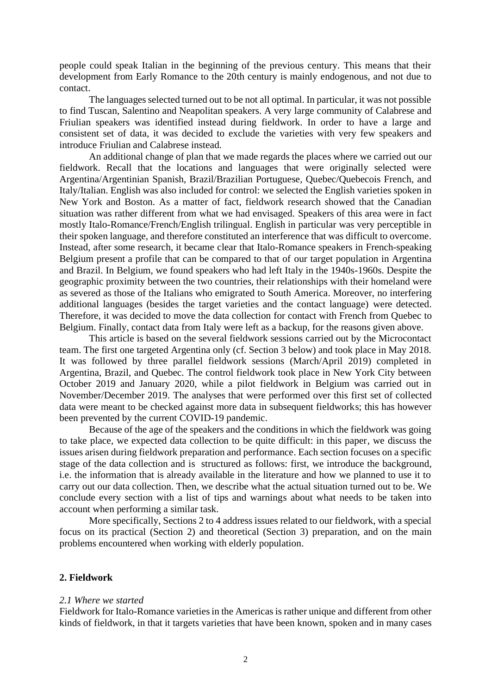people could speak Italian in the beginning of the previous century. This means that their development from Early Romance to the 20th century is mainly endogenous, and not due to contact.

The languages selected turned out to be not all optimal. In particular, it was not possible to find Tuscan, Salentino and Neapolitan speakers. A very large community of Calabrese and Friulian speakers was identified instead during fieldwork. In order to have a large and consistent set of data, it was decided to exclude the varieties with very few speakers and introduce Friulian and Calabrese instead.

An additional change of plan that we made regards the places where we carried out our fieldwork. Recall that the locations and languages that were originally selected were Argentina/Argentinian Spanish, Brazil/Brazilian Portuguese, Quebec/Quebecois French, and Italy/Italian. English was also included for control: we selected the English varieties spoken in New York and Boston. As a matter of fact, fieldwork research showed that the Canadian situation was rather different from what we had envisaged. Speakers of this area were in fact mostly Italo-Romance/French/English trilingual. English in particular was very perceptible in their spoken language, and therefore constituted an interference that was difficult to overcome. Instead, after some research, it became clear that Italo-Romance speakers in French-speaking Belgium present a profile that can be compared to that of our target population in Argentina and Brazil. In Belgium, we found speakers who had left Italy in the 1940s-1960s. Despite the geographic proximity between the two countries, their relationships with their homeland were as severed as those of the Italians who emigrated to South America. Moreover, no interfering additional languages (besides the target varieties and the contact language) were detected. Therefore, it was decided to move the data collection for contact with French from Quebec to Belgium. Finally, contact data from Italy were left as a backup, for the reasons given above.

This article is based on the several fieldwork sessions carried out by the Microcontact team. The first one targeted Argentina only (cf. Section 3 below) and took place in May 2018. It was followed by three parallel fieldwork sessions (March/April 2019) completed in Argentina, Brazil, and Quebec. The control fieldwork took place in New York City between October 2019 and January 2020, while a pilot fieldwork in Belgium was carried out in November/December 2019. The analyses that were performed over this first set of collected data were meant to be checked against more data in subsequent fieldworks; this has however been prevented by the current COVID-19 pandemic.

Because of the age of the speakers and the conditions in which the fieldwork was going to take place, we expected data collection to be quite difficult: in this paper, we discuss the issues arisen during fieldwork preparation and performance. Each section focuses on a specific stage of the data collection and is structured as follows: first, we introduce the background, i.e. the information that is already available in the literature and how we planned to use it to carry out our data collection. Then, we describe what the actual situation turned out to be. We conclude every section with a list of tips and warnings about what needs to be taken into account when performing a similar task.

More specifically, Sections 2 to 4 address issues related to our fieldwork, with a special focus on its practical (Section 2) and theoretical (Section 3) preparation, and on the main problems encountered when working with elderly population.

#### **2. Fieldwork**

#### *2.1 Where we started*

Fieldwork for Italo-Romance varieties in the Americas is rather unique and different from other kinds of fieldwork, in that it targets varieties that have been known, spoken and in many cases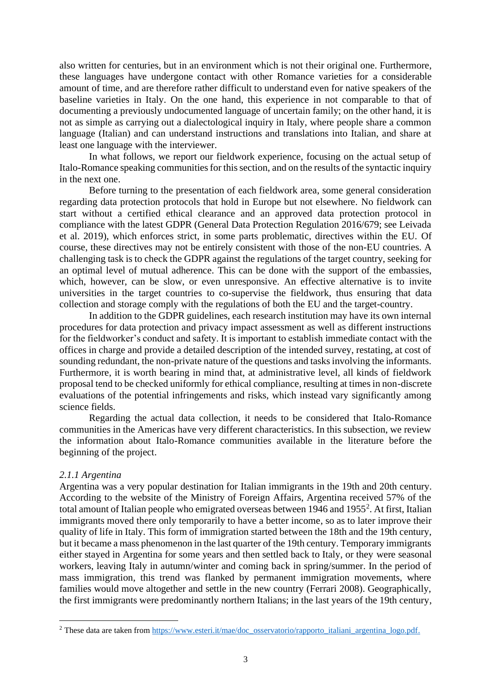also written for centuries, but in an environment which is not their original one. Furthermore, these languages have undergone contact with other Romance varieties for a considerable amount of time, and are therefore rather difficult to understand even for native speakers of the baseline varieties in Italy. On the one hand, this experience in not comparable to that of documenting a previously undocumented language of uncertain family; on the other hand, it is not as simple as carrying out a dialectological inquiry in Italy, where people share a common language (Italian) and can understand instructions and translations into Italian, and share at least one language with the interviewer.

In what follows, we report our fieldwork experience, focusing on the actual setup of Italo-Romance speaking communities for this section, and on the results of the syntactic inquiry in the next one.

Before turning to the presentation of each fieldwork area, some general consideration regarding data protection protocols that hold in Europe but not elsewhere. No fieldwork can start without a certified ethical clearance and an approved data protection protocol in compliance with the latest GDPR (General Data Protection Regulation 2016/679; see Leivada et al. 2019), which enforces strict, in some parts problematic, directives within the EU. Of course, these directives may not be entirely consistent with those of the non-EU countries. A challenging task is to check the GDPR against the regulations of the target country, seeking for an optimal level of mutual adherence. This can be done with the support of the embassies, which, however, can be slow, or even unresponsive. An effective alternative is to invite universities in the target countries to co-supervise the fieldwork, thus ensuring that data collection and storage comply with the regulations of both the EU and the target-country.

In addition to the GDPR guidelines, each research institution may have its own internal procedures for data protection and privacy impact assessment as well as different instructions for the fieldworker's conduct and safety. It is important to establish immediate contact with the offices in charge and provide a detailed description of the intended survey, restating, at cost of sounding redundant, the non-private nature of the questions and tasks involving the informants. Furthermore, it is worth bearing in mind that, at administrative level, all kinds of fieldwork proposal tend to be checked uniformly for ethical compliance, resulting at times in non-discrete evaluations of the potential infringements and risks, which instead vary significantly among science fields.

Regarding the actual data collection, it needs to be considered that Italo-Romance communities in the Americas have very different characteristics. In this subsection, we review the information about Italo-Romance communities available in the literature before the beginning of the project.

### *2.1.1 Argentina*

Argentina was a very popular destination for Italian immigrants in the 19th and 20th century. According to the website of the Ministry of Foreign Affairs, Argentina received 57% of the total amount of Italian people who emigrated overseas between 1946 and 1955<sup>2</sup>. At first, Italian immigrants moved there only temporarily to have a better income, so as to later improve their quality of life in Italy. This form of immigration started between the 18th and the 19th century, but it became a mass phenomenon in the last quarter of the 19th century. Temporary immigrants either stayed in Argentina for some years and then settled back to Italy, or they were seasonal workers, leaving Italy in autumn/winter and coming back in spring/summer. In the period of mass immigration, this trend was flanked by permanent immigration movements, where families would move altogether and settle in the new country (Ferrari 2008). Geographically, the first immigrants were predominantly northern Italians; in the last years of the 19th century,

<sup>&</sup>lt;sup>2</sup> These data are taken from [https://www.esteri.it/mae/doc\\_osservatorio/rapporto\\_italiani\\_argentina\\_logo.pdf.](https://www.esteri.it/mae/doc_osservatorio/rapporto_italiani_argentina_logo.pdf)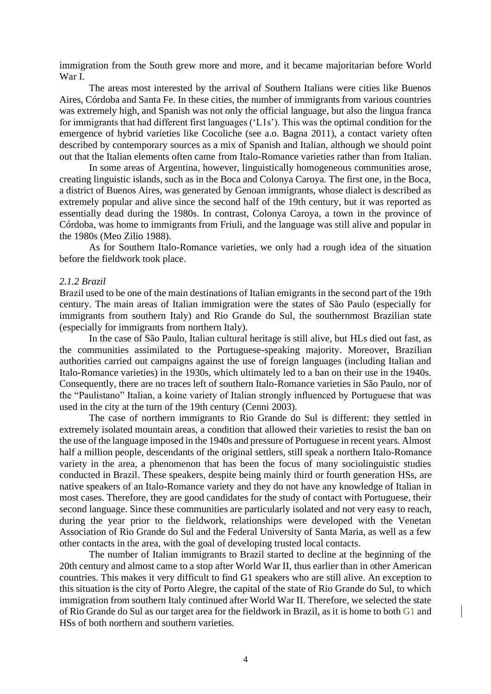immigration from the South grew more and more, and it became majoritarian before World War I.

The areas most interested by the arrival of Southern Italians were cities like Buenos Aires, Córdoba and Santa Fe. In these cities, the number of immigrants from various countries was extremely high, and Spanish was not only the official language, but also the lingua franca for immigrants that had different first languages ('L1s'). This was the optimal condition for the emergence of hybrid varieties like Cocoliche (see a.o. Bagna 2011), a contact variety often described by contemporary sources as a mix of Spanish and Italian, although we should point out that the Italian elements often came from Italo-Romance varieties rather than from Italian.

In some areas of Argentina, however, linguistically homogeneous communities arose, creating linguistic islands, such as in the Boca and Colonya Caroya. The first one, in the Boca, a district of Buenos Aires, was generated by Genoan immigrants, whose dialect is described as extremely popular and alive since the second half of the 19th century, but it was reported as essentially dead during the 1980s. In contrast, Colonya Caroya, a town in the province of Córdoba, was home to immigrants from Friuli, and the language was still alive and popular in the 1980s (Meo Zilio 1988).

As for Southern Italo-Romance varieties, we only had a rough idea of the situation before the fieldwork took place.

#### *2.1.2 Brazil*

Brazil used to be one of the main destinations of Italian emigrants in the second part of the 19th century. The main areas of Italian immigration were the states of São Paulo (especially for immigrants from southern Italy) and Rio Grande do Sul, the southernmost Brazilian state (especially for immigrants from northern Italy).

In the case of São Paulo, Italian cultural heritage is still alive, but HLs died out fast, as the communities assimilated to the Portuguese-speaking majority. Moreover, Brazilian authorities carried out campaigns against the use of foreign languages (including Italian and Italo-Romance varieties) in the 1930s, which ultimately led to a ban on their use in the 1940s. Consequently, there are no traces left of southern Italo-Romance varieties in São Paulo, nor of the "Paulistano" Italian, a koine variety of Italian strongly influenced by Portuguese that was used in the city at the turn of the 19th century (Cenni 2003).

The case of northern immigrants to Rio Grande do Sul is different: they settled in extremely isolated mountain areas, a condition that allowed their varieties to resist the ban on the use of the language imposed in the 1940s and pressure of Portuguese in recent years. Almost half a million people, descendants of the original settlers, still speak a northern Italo-Romance variety in the area, a phenomenon that has been the focus of many sociolinguistic studies conducted in Brazil. These speakers, despite being mainly third or fourth generation HSs, are native speakers of an Italo-Romance variety and they do not have any knowledge of Italian in most cases. Therefore, they are good candidates for the study of contact with Portuguese, their second language. Since these communities are particularly isolated and not very easy to reach, during the year prior to the fieldwork, relationships were developed with the Venetan Association of Rio Grande do Sul and the Federal University of Santa Maria, as well as a few other contacts in the area, with the goal of developing trusted local contacts.

The number of Italian immigrants to Brazil started to decline at the beginning of the 20th century and almost came to a stop after World War II, thus earlier than in other American countries. This makes it very difficult to find G1 speakers who are still alive. An exception to this situation is the city of Porto Alegre, the capital of the state of Rio Grande do Sul, to which immigration from southern Italy continued after World War II. Therefore, we selected the state of Rio Grande do Sul as our target area for the fieldwork in Brazil, as it is home to both G1 and HSs of both northern and southern varieties.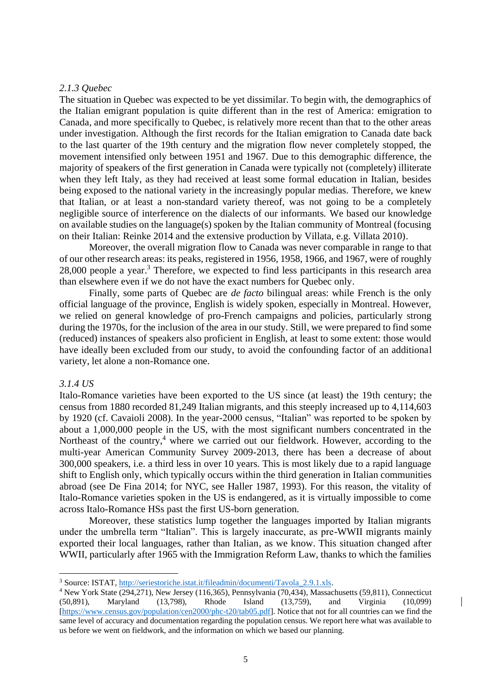### *2.1.3 Quebec*

The situation in Quebec was expected to be yet dissimilar. To begin with, the demographics of the Italian emigrant population is quite different than in the rest of America: emigration to Canada, and more specifically to Quebec, is relatively more recent than that to the other areas under investigation. Although the first records for the Italian emigration to Canada date back to the last quarter of the 19th century and the migration flow never completely stopped, the movement intensified only between 1951 and 1967. Due to this demographic difference, the majority of speakers of the first generation in Canada were typically not (completely) illiterate when they left Italy, as they had received at least some formal education in Italian, besides being exposed to the national variety in the increasingly popular medias. Therefore, we knew that Italian, or at least a non-standard variety thereof, was not going to be a completely negligible source of interference on the dialects of our informants. We based our knowledge on available studies on the language(s) spoken by the Italian community of Montreal (focusing on their Italian: Reinke 2014 and the extensive production by Villata, e.g. Villata 2010).

Moreover, the overall migration flow to Canada was never comparable in range to that of our other research areas: its peaks, registered in 1956, 1958, 1966, and 1967, were of roughly  $28,000$  people a year.<sup>3</sup> Therefore, we expected to find less participants in this research area than elsewhere even if we do not have the exact numbers for Quebec only.

Finally, some parts of Quebec are *de facto* bilingual areas: while French is the only official language of the province, English is widely spoken, especially in Montreal. However, we relied on general knowledge of pro-French campaigns and policies, particularly strong during the 1970s, for the inclusion of the area in our study. Still, we were prepared to find some (reduced) instances of speakers also proficient in English, at least to some extent: those would have ideally been excluded from our study, to avoid the confounding factor of an additional variety, let alone a non-Romance one.

#### *3.1.4 US*

Italo-Romance varieties have been exported to the US since (at least) the 19th century; the census from 1880 recorded 81,249 Italian migrants, and this steeply increased up to 4,114,603 by 1920 (cf. Cavaioli 2008). In the year-2000 census, "Italian" was reported to be spoken by about a 1,000,000 people in the US, with the most significant numbers concentrated in the Northeast of the country,<sup>4</sup> where we carried out our fieldwork. However, according to the multi-year American Community Survey 2009-2013, there has been a decrease of about 300,000 speakers, i.e. a third less in over 10 years. This is most likely due to a rapid language shift to English only, which typically occurs within the third generation in Italian communities abroad (see De Fina 2014; for NYC, see Haller 1987, 1993). For this reason, the vitality of Italo-Romance varieties spoken in the US is endangered, as it is virtually impossible to come across Italo-Romance HSs past the first US-born generation.

Moreover, these statistics lump together the languages imported by Italian migrants under the umbrella term "Italian". This is largely inaccurate, as pre-WWII migrants mainly exported their local languages, rather than Italian, as we know. This situation changed after WWII, particularly after 1965 with the Immigration Reform Law, thanks to which the families

<sup>3</sup> Source: ISTAT, [http://seriestoriche.istat.it/fileadmin/documenti/Tavola\\_2.9.1.xls.](http://seriestoriche.istat.it/fileadmin/documenti/Tavola_2.9.1.xls)

<sup>4</sup> New York State (294,271), New Jersey (116,365), Pennsylvania (70,434), Massachusetts (59,811), Connecticut (50,891), Maryland (13,798), Rhode Island (13,759), and Virginia (10,099) [\[https://www.census.gov/population/cen2000/phc-t20/tab05.pdf\]](https://www.census.gov/population/cen2000/phc-t20/tab05.pdf). Notice that not for all countries can we find the same level of accuracy and documentation regarding the population census. We report here what was available to us before we went on fieldwork, and the information on which we based our planning.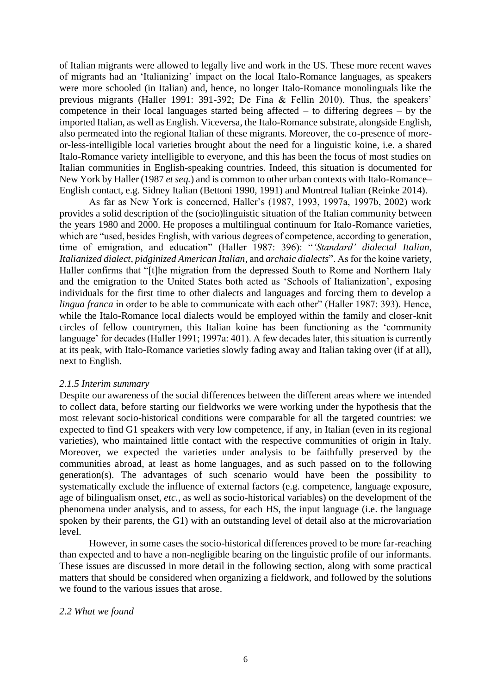of Italian migrants were allowed to legally live and work in the US. These more recent waves of migrants had an 'Italianizing' impact on the local Italo-Romance languages, as speakers were more schooled (in Italian) and, hence, no longer Italo-Romance monolinguals like the previous migrants (Haller 1991: 391-392; De Fina & Fellin 2010). Thus, the speakers' competence in their local languages started being affected – to differing degrees – by the imported Italian, as well as English. Viceversa, the Italo-Romance substrate, alongside English, also permeated into the regional Italian of these migrants. Moreover, the co-presence of moreor-less-intelligible local varieties brought about the need for a linguistic koine, i.e. a shared Italo-Romance variety intelligible to everyone, and this has been the focus of most studies on Italian communities in English-speaking countries. Indeed, this situation is documented for New York by Haller (1987 *et seq.*) and is common to other urban contexts with Italo-Romance– English contact, e.g. Sidney Italian (Bettoni 1990, 1991) and Montreal Italian (Reinke 2014).

As far as New York is concerned, Haller's (1987, 1993, 1997a, 1997b, 2002) work provides a solid description of the (socio)linguistic situation of the Italian community between the years 1980 and 2000. He proposes a multilingual continuum for Italo-Romance varieties, which are "used, besides English, with various degrees of competence, according to generation, time of emigration, and education" (Haller 1987: 396): "*'Standard' dialectal Italian*, *Italianized dialect*, *pidginized American Italian*, and *archaic dialects*". As for the koine variety, Haller confirms that "[t]he migration from the depressed South to Rome and Northern Italy and the emigration to the United States both acted as 'Schools of Italianization', exposing individuals for the first time to other dialects and languages and forcing them to develop a *lingua franca* in order to be able to communicate with each other" (Haller 1987: 393). Hence, while the Italo-Romance local dialects would be employed within the family and closer-knit circles of fellow countrymen, this Italian koine has been functioning as the 'community language' for decades (Haller 1991; 1997a: 401). A few decades later, this situation is currently at its peak, with Italo-Romance varieties slowly fading away and Italian taking over (if at all), next to English.

### *2.1.5 Interim summary*

Despite our awareness of the social differences between the different areas where we intended to collect data, before starting our fieldworks we were working under the hypothesis that the most relevant socio-historical conditions were comparable for all the targeted countries: we expected to find G1 speakers with very low competence, if any, in Italian (even in its regional varieties), who maintained little contact with the respective communities of origin in Italy. Moreover, we expected the varieties under analysis to be faithfully preserved by the communities abroad, at least as home languages, and as such passed on to the following generation(s). The advantages of such scenario would have been the possibility to systematically exclude the influence of external factors (e.g. competence, language exposure, age of bilingualism onset, *etc.*, as well as socio-historical variables) on the development of the phenomena under analysis, and to assess, for each HS, the input language (i.e. the language spoken by their parents, the G1) with an outstanding level of detail also at the microvariation level.

However, in some cases the socio-historical differences proved to be more far-reaching than expected and to have a non-negligible bearing on the linguistic profile of our informants. These issues are discussed in more detail in the following section, along with some practical matters that should be considered when organizing a fieldwork, and followed by the solutions we found to the various issues that arose.

### *2.2 What we found*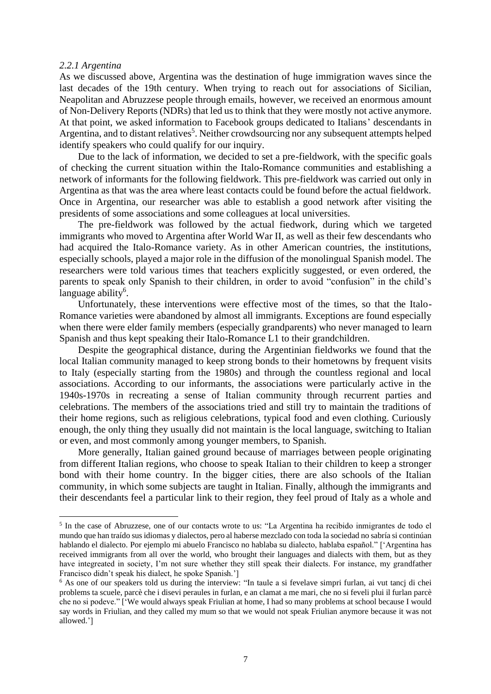#### *2.2.1 Argentina*

As we discussed above, Argentina was the destination of huge immigration waves since the last decades of the 19th century. When trying to reach out for associations of Sicilian, Neapolitan and Abruzzese people through emails, however, we received an enormous amount of Non-Delivery Reports (NDRs) that led us to think that they were mostly not active anymore. At that point, we asked information to Facebook groups dedicated to Italians' descendants in Argentina, and to distant relatives<sup>5</sup>. Neither crowdsourcing nor any subsequent attempts helped identify speakers who could qualify for our inquiry.

Due to the lack of information, we decided to set a pre-fieldwork, with the specific goals of checking the current situation within the Italo-Romance communities and establishing a network of informants for the following fieldwork. This pre-fieldwork was carried out only in Argentina as that was the area where least contacts could be found before the actual fieldwork. Once in Argentina, our researcher was able to establish a good network after visiting the presidents of some associations and some colleagues at local universities.

The pre-fieldwork was followed by the actual fiedwork, during which we targeted immigrants who moved to Argentina after World War II, as well as their few descendants who had acquired the Italo-Romance variety. As in other American countries, the institutions, especially schools, played a major role in the diffusion of the monolingual Spanish model. The researchers were told various times that teachers explicitly suggested, or even ordered, the parents to speak only Spanish to their children, in order to avoid "confusion" in the child's language ability<sup>6</sup>.

Unfortunately, these interventions were effective most of the times, so that the Italo-Romance varieties were abandoned by almost all immigrants. Exceptions are found especially when there were elder family members (especially grandparents) who never managed to learn Spanish and thus kept speaking their Italo-Romance L1 to their grandchildren.

Despite the geographical distance, during the Argentinian fieldworks we found that the local Italian community managed to keep strong bonds to their hometowns by frequent visits to Italy (especially starting from the 1980s) and through the countless regional and local associations. According to our informants, the associations were particularly active in the 1940s-1970s in recreating a sense of Italian community through recurrent parties and celebrations. The members of the associations tried and still try to maintain the traditions of their home regions, such as religious celebrations, typical food and even clothing. Curiously enough, the only thing they usually did not maintain is the local language, switching to Italian or even, and most commonly among younger members, to Spanish.

More generally, Italian gained ground because of marriages between people originating from different Italian regions, who choose to speak Italian to their children to keep a stronger bond with their home country. In the bigger cities, there are also schools of the Italian community, in which some subjects are taught in Italian. Finally, although the immigrants and their descendants feel a particular link to their region, they feel proud of Italy as a whole and

<sup>&</sup>lt;sup>5</sup> In the case of Abruzzese, one of our contacts wrote to us: "La Argentina ha recibido inmigrantes de todo el mundo que han traído sus idiomas y dialectos, pero al haberse mezclado con toda la sociedad no sabría si continúan hablando el dialecto. Por ejemplo mi abuelo Francisco no hablaba su dialecto, hablaba español." ['Argentina has received immigrants from all over the world, who brought their languages and dialects with them, but as they have integreated in society, I'm not sure whether they still speak their dialects. For instance, my grandfather Francisco didn't speak his dialect, he spoke Spanish.']

<sup>&</sup>lt;sup>6</sup> As one of our speakers told us during the interview: "In taule a si fevelave simpri furlan, ai vut tancj di chei problems ta scuele, parcè che i disevi peraules in furlan, e an clamat a me mari, che no si feveli plui il furlan parcè che no si podeve." ['We would always speak Friulian at home, I had so many problems at school because I would say words in Friulian, and they called my mum so that we would not speak Friulian anymore because it was not allowed.']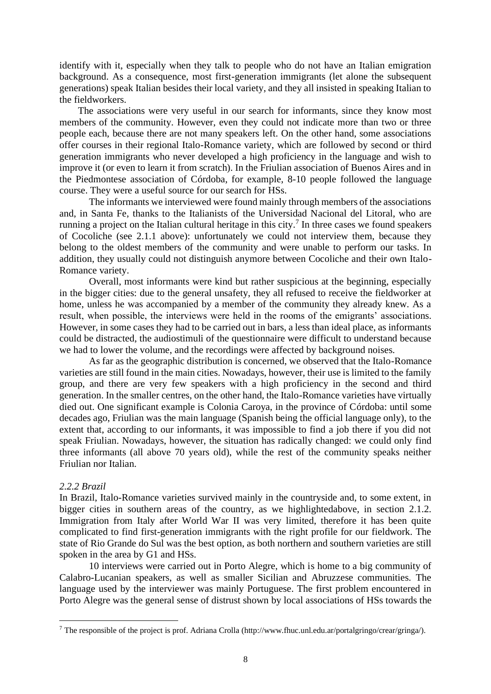identify with it, especially when they talk to people who do not have an Italian emigration background. As a consequence, most first-generation immigrants (let alone the subsequent generations) speak Italian besides their local variety, and they all insisted in speaking Italian to the fieldworkers.

The associations were very useful in our search for informants, since they know most members of the community. However, even they could not indicate more than two or three people each, because there are not many speakers left. On the other hand, some associations offer courses in their regional Italo-Romance variety, which are followed by second or third generation immigrants who never developed a high proficiency in the language and wish to improve it (or even to learn it from scratch). In the Friulian association of Buenos Aires and in the Piedmontese association of Córdoba, for example, 8-10 people followed the language course. They were a useful source for our search for HSs.

The informants we interviewed were found mainly through members of the associations and, in Santa Fe, thanks to the Italianists of the Universidad Nacional del Litoral, who are running a project on the Italian cultural heritage in this city.<sup>7</sup> In three cases we found speakers of Cocoliche (see 2.1.1 above): unfortunately we could not interview them, because they belong to the oldest members of the community and were unable to perform our tasks. In addition, they usually could not distinguish anymore between Cocoliche and their own Italo-Romance variety.

Overall, most informants were kind but rather suspicious at the beginning, especially in the bigger cities: due to the general unsafety, they all refused to receive the fieldworker at home, unless he was accompanied by a member of the community they already knew. As a result, when possible, the interviews were held in the rooms of the emigrants' associations. However, in some cases they had to be carried out in bars, a less than ideal place, as informants could be distracted, the audiostimuli of the questionnaire were difficult to understand because we had to lower the volume, and the recordings were affected by background noises.

As far as the geographic distribution is concerned, we observed that the Italo-Romance varieties are still found in the main cities. Nowadays, however, their use is limited to the family group, and there are very few speakers with a high proficiency in the second and third generation. In the smaller centres, on the other hand, the Italo-Romance varieties have virtually died out. One significant example is Colonia Caroya, in the province of Córdoba: until some decades ago, Friulian was the main language (Spanish being the official language only), to the extent that, according to our informants, it was impossible to find a job there if you did not speak Friulian. Nowadays, however, the situation has radically changed: we could only find three informants (all above 70 years old), while the rest of the community speaks neither Friulian nor Italian.

### *2.2.2 Brazil*

In Brazil, Italo-Romance varieties survived mainly in the countryside and, to some extent, in bigger cities in southern areas of the country, as we highlightedabove, in section 2.1.2. Immigration from Italy after World War II was very limited, therefore it has been quite complicated to find first-generation immigrants with the right profile for our fieldwork. The state of Rio Grande do Sul was the best option, as both northern and southern varieties are still spoken in the area by G1 and HSs.

10 interviews were carried out in Porto Alegre, which is home to a big community of Calabro-Lucanian speakers, as well as smaller Sicilian and Abruzzese communities. The language used by the interviewer was mainly Portuguese. The first problem encountered in Porto Alegre was the general sense of distrust shown by local associations of HSs towards the

<sup>7</sup> The responsible of the project is prof. Adriana Crolla (http://www.fhuc.unl.edu.ar/portalgringo/crear/gringa/).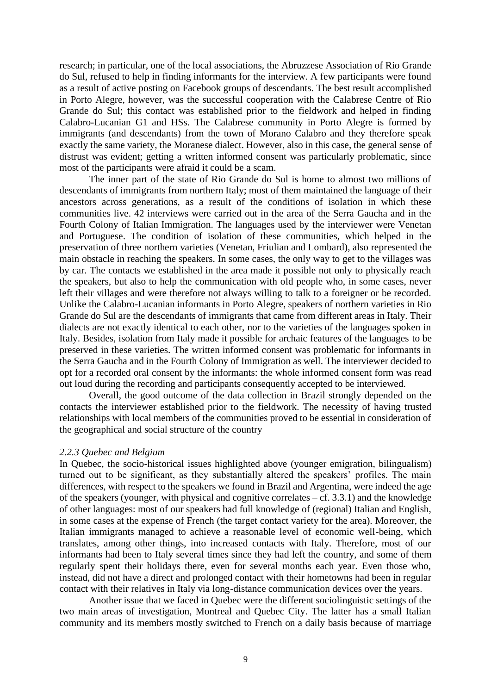research; in particular, one of the local associations, the Abruzzese Association of Rio Grande do Sul, refused to help in finding informants for the interview. A few participants were found as a result of active posting on Facebook groups of descendants. The best result accomplished in Porto Alegre, however, was the successful cooperation with the Calabrese Centre of Rio Grande do Sul; this contact was established prior to the fieldwork and helped in finding Calabro-Lucanian G1 and HSs. The Calabrese community in Porto Alegre is formed by immigrants (and descendants) from the town of Morano Calabro and they therefore speak exactly the same variety, the Moranese dialect. However, also in this case, the general sense of distrust was evident; getting a written informed consent was particularly problematic, since most of the participants were afraid it could be a scam.

The inner part of the state of Rio Grande do Sul is home to almost two millions of descendants of immigrants from northern Italy; most of them maintained the language of their ancestors across generations, as a result of the conditions of isolation in which these communities live. 42 interviews were carried out in the area of the Serra Gaucha and in the Fourth Colony of Italian Immigration. The languages used by the interviewer were Venetan and Portuguese. The condition of isolation of these communities, which helped in the preservation of three northern varieties (Venetan, Friulian and Lombard), also represented the main obstacle in reaching the speakers. In some cases, the only way to get to the villages was by car. The contacts we established in the area made it possible not only to physically reach the speakers, but also to help the communication with old people who, in some cases, never left their villages and were therefore not always willing to talk to a foreigner or be recorded. Unlike the Calabro-Lucanian informants in Porto Alegre, speakers of northern varieties in Rio Grande do Sul are the descendants of immigrants that came from different areas in Italy. Their dialects are not exactly identical to each other, nor to the varieties of the languages spoken in Italy. Besides, isolation from Italy made it possible for archaic features of the languages to be preserved in these varieties. The written informed consent was problematic for informants in the Serra Gaucha and in the Fourth Colony of Immigration as well. The interviewer decided to opt for a recorded oral consent by the informants: the whole informed consent form was read out loud during the recording and participants consequently accepted to be interviewed.

Overall, the good outcome of the data collection in Brazil strongly depended on the contacts the interviewer established prior to the fieldwork. The necessity of having trusted relationships with local members of the communities proved to be essential in consideration of the geographical and social structure of the country

#### *2.2.3 Quebec and Belgium*

In Quebec, the socio-historical issues highlighted above (younger emigration, bilingualism) turned out to be significant, as they substantially altered the speakers' profiles. The main differences, with respect to the speakers we found in Brazil and Argentina, were indeed the age of the speakers (younger, with physical and cognitive correlates – cf. 3.3.1) and the knowledge of other languages: most of our speakers had full knowledge of (regional) Italian and English, in some cases at the expense of French (the target contact variety for the area). Moreover, the Italian immigrants managed to achieve a reasonable level of economic well-being, which translates, among other things, into increased contacts with Italy. Therefore, most of our informants had been to Italy several times since they had left the country, and some of them regularly spent their holidays there, even for several months each year. Even those who, instead, did not have a direct and prolonged contact with their hometowns had been in regular contact with their relatives in Italy via long-distance communication devices over the years.

Another issue that we faced in Quebec were the different sociolinguistic settings of the two main areas of investigation, Montreal and Quebec City. The latter has a small Italian community and its members mostly switched to French on a daily basis because of marriage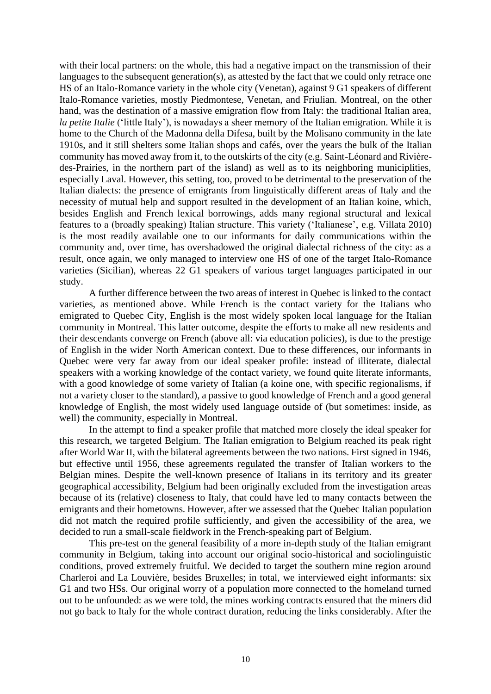with their local partners: on the whole, this had a negative impact on the transmission of their languages to the subsequent generation(s), as attested by the fact that we could only retrace one HS of an Italo-Romance variety in the whole city (Venetan), against 9 G1 speakers of different Italo-Romance varieties, mostly Piedmontese, Venetan, and Friulian. Montreal, on the other hand, was the destination of a massive emigration flow from Italy: the traditional Italian area, *la petite Italie* ('little Italy'), is nowadays a sheer memory of the Italian emigration. While it is home to the Church of the Madonna della Difesa, built by the Molisano community in the late 1910s, and it still shelters some Italian shops and cafés, over the years the bulk of the Italian community has moved away from it, to the outskirts of the city (e.g. Saint-Léonard and Rivièredes-Prairies, in the northern part of the island) as well as to its neighboring municiplities, especially Laval. However, this setting, too, proved to be detrimental to the preservation of the Italian dialects: the presence of emigrants from linguistically different areas of Italy and the necessity of mutual help and support resulted in the development of an Italian koine, which, besides English and French lexical borrowings, adds many regional structural and lexical features to a (broadly speaking) Italian structure. This variety ('Italianese', e.g. Villata 2010) is the most readily available one to our informants for daily communications within the community and, over time, has overshadowed the original dialectal richness of the city: as a result, once again, we only managed to interview one HS of one of the target Italo-Romance varieties (Sicilian), whereas 22 G1 speakers of various target languages participated in our study.

A further difference between the two areas of interest in Quebec is linked to the contact varieties, as mentioned above. While French is the contact variety for the Italians who emigrated to Quebec City, English is the most widely spoken local language for the Italian community in Montreal. This latter outcome, despite the efforts to make all new residents and their descendants converge on French (above all: via education policies), is due to the prestige of English in the wider North American context. Due to these differences, our informants in Quebec were very far away from our ideal speaker profile: instead of illiterate, dialectal speakers with a working knowledge of the contact variety, we found quite literate informants, with a good knowledge of some variety of Italian (a koine one, with specific regionalisms, if not a variety closer to the standard), a passive to good knowledge of French and a good general knowledge of English, the most widely used language outside of (but sometimes: inside, as well) the community, especially in Montreal.

In the attempt to find a speaker profile that matched more closely the ideal speaker for this research, we targeted Belgium. The Italian emigration to Belgium reached its peak right after World War II, with the bilateral agreements between the two nations. First signed in 1946, but effective until 1956, these agreements regulated the transfer of Italian workers to the Belgian mines. Despite the well-known presence of Italians in its territory and its greater geographical accessibility, Belgium had been originally excluded from the investigation areas because of its (relative) closeness to Italy, that could have led to many contacts between the emigrants and their hometowns. However, after we assessed that the Quebec Italian population did not match the required profile sufficiently, and given the accessibility of the area, we decided to run a small-scale fieldwork in the French-speaking part of Belgium.

This pre-test on the general feasibility of a more in-depth study of the Italian emigrant community in Belgium, taking into account our original socio-historical and sociolinguistic conditions, proved extremely fruitful. We decided to target the southern mine region around Charleroi and La Louvière, besides Bruxelles; in total, we interviewed eight informants: six G1 and two HSs. Our original worry of a population more connected to the homeland turned out to be unfounded: as we were told, the mines working contracts ensured that the miners did not go back to Italy for the whole contract duration, reducing the links considerably. After the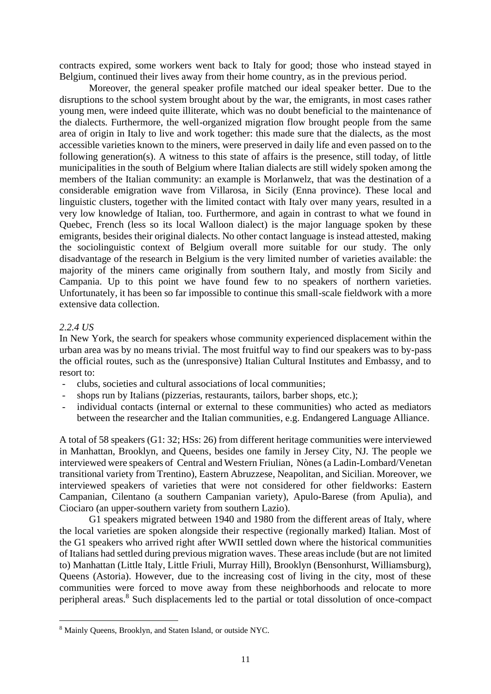contracts expired, some workers went back to Italy for good; those who instead stayed in Belgium, continued their lives away from their home country, as in the previous period.

Moreover, the general speaker profile matched our ideal speaker better. Due to the disruptions to the school system brought about by the war, the emigrants, in most cases rather young men, were indeed quite illiterate, which was no doubt beneficial to the maintenance of the dialects. Furthermore, the well-organized migration flow brought people from the same area of origin in Italy to live and work together: this made sure that the dialects, as the most accessible varieties known to the miners, were preserved in daily life and even passed on to the following generation(s). A witness to this state of affairs is the presence, still today, of little municipalities in the south of Belgium where Italian dialects are still widely spoken among the members of the Italian community: an example is Morlanwelz, that was the destination of a considerable emigration wave from Villarosa, in Sicily (Enna province). These local and linguistic clusters, together with the limited contact with Italy over many years, resulted in a very low knowledge of Italian, too. Furthermore, and again in contrast to what we found in Quebec, French (less so its local Walloon dialect) is the major language spoken by these emigrants, besides their original dialects. No other contact language is instead attested, making the sociolinguistic context of Belgium overall more suitable for our study. The only disadvantage of the research in Belgium is the very limited number of varieties available: the majority of the miners came originally from southern Italy, and mostly from Sicily and Campania. Up to this point we have found few to no speakers of northern varieties. Unfortunately, it has been so far impossible to continue this small-scale fieldwork with a more extensive data collection.

### *2.2.4 US*

In New York, the search for speakers whose community experienced displacement within the urban area was by no means trivial. The most fruitful way to find our speakers was to by-pass the official routes, such as the (unresponsive) Italian Cultural Institutes and Embassy, and to resort to:

- clubs, societies and cultural associations of local communities;
- shops run by Italians (pizzerias, restaurants, tailors, barber shops, etc.);
- individual contacts (internal or external to these communities) who acted as mediators between the researcher and the Italian communities, e.g. Endangered Language Alliance.

A total of 58 speakers (G1: 32; HSs: 26) from different heritage communities were interviewed in Manhattan, Brooklyn, and Queens, besides one family in Jersey City, NJ. The people we interviewed were speakers of Central and Western Friulian, Nònes(a Ladin-Lombard/Venetan transitional variety from Trentino), Eastern Abruzzese, Neapolitan, and Sicilian. Moreover, we interviewed speakers of varieties that were not considered for other fieldworks: Eastern Campanian, Cilentano (a southern Campanian variety), Apulo-Barese (from Apulia), and Ciociaro (an upper-southern variety from southern Lazio).

G1 speakers migrated between 1940 and 1980 from the different areas of Italy, where the local varieties are spoken alongside their respective (regionally marked) Italian. Most of the G1 speakers who arrived right after WWII settled down where the historical communities of Italians had settled during previous migration waves. These areas include (but are not limited to) Manhattan (Little Italy, Little Friuli, Murray Hill), Brooklyn (Bensonhurst, Williamsburg), Queens (Astoria). However, due to the increasing cost of living in the city, most of these communities were forced to move away from these neighborhoods and relocate to more peripheral areas.<sup>8</sup> Such displacements led to the partial or total dissolution of once-compact

<sup>8</sup> Mainly Queens, Brooklyn, and Staten Island, or outside NYC.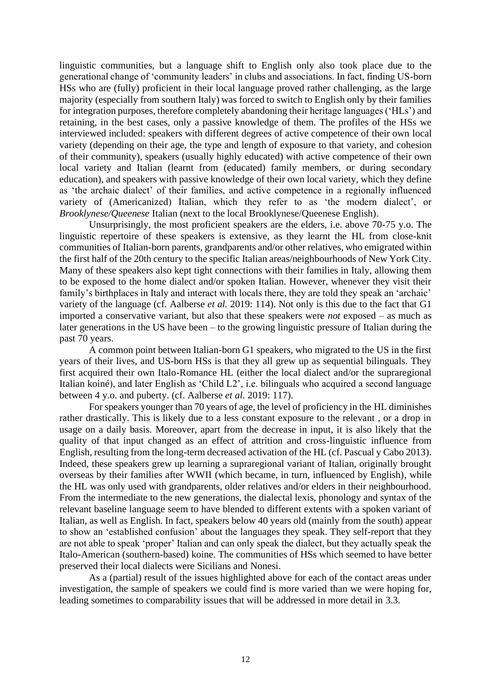linguistic communities, but a language shift to English only also took place due to the generational change of 'community leaders' in clubs and associations. In fact, finding US-born HSs who are (fully) proficient in their local language proved rather challenging, as the large majority (especially from southern Italy) was forced to switch to English only by their families for integration purposes, therefore completely abandoning their heritage languages ('HLs') and retaining, in the best cases, only a passive knowledge of them. The profiles of the HSs we interviewed included: speakers with different degrees of active competence of their own local variety (depending on their age, the type and length of exposure to that variety, and cohesion of their community), speakers (usually highly educated) with active competence of their own local variety and Italian (learnt from (educated) family members, or during secondary education), and speakers with passive knowledge of their own local variety, which they define as 'the archaic dialect' of their families, and active competence in a regionally influenced variety of (Americanized) Italian, which they refer to as 'the modern dialect', or *Brooklynese/Queenese* Italian (next to the local Brooklynese/Queenese English).

Unsurprisingly, the most proficient speakers are the elders, i.e. above 70-75 y.o. The linguistic repertoire of these speakers is extensive, as they learnt the HL from close-knit communities of Italian-born parents, grandparents and/or other relatives, who emigrated within the first half of the 20th century to the specific Italian areas/neighbourhoods of New York City. Many of these speakers also kept tight connections with their families in Italy, allowing them to be exposed to the home dialect and/or spoken Italian. However, whenever they visit their family's birthplaces in Italy and interact with locals there, they are told they speak an 'archaic' variety of the language (cf. Aalberse *et al.* 2019: 114). Not only is this due to the fact that G1 imported a conservative variant, but also that these speakers were *not* exposed – as much as later generations in the US have been – to the growing linguistic pressure of Italian during the past 70 years.

A common point between Italian-born G1 speakers, who migrated to the US in the first years of their lives, and US-born HSs is that they all grew up as sequential bilinguals. They first acquired their own Italo-Romance HL (either the local dialect and/or the supraregional Italian koiné), and later English as 'Child L2', i.e. bilinguals who acquired a second language between 4 y.o. and puberty. (cf. Aalberse *et al.* 2019: 117).

For speakers younger than 70 years of age, the level of proficiency in the HL diminishes rather drastically. This is likely due to a less constant exposure to the relevant , or a drop in usage on a daily basis. Moreover, apart from the decrease in input, it is also likely that the quality of that input changed as an effect of attrition and cross-linguistic influence from English, resulting from the long-term decreased activation of the HL (cf. Pascual y Cabo 2013). Indeed, these speakers grew up learning a supraregional variant of Italian, originally brought overseas by their families after WWII (which became, in turn, influenced by English), while the HL was only used with grandparents, older relatives and/or elders in their neighbourhood. From the intermediate to the new generations, the dialectal lexis, phonology and syntax of the relevant baseline language seem to have blended to different extents with a spoken variant of Italian, as well as English. In fact, speakers below 40 years old (mainly from the south) appear to show an 'established confusion' about the languages they speak. They self-report that they are not able to speak 'proper' Italian and can only speak the dialect, but they actually speak the Italo-American (southern-based) koine. The communities of HSs which seemed to have better preserved their local dialects were Sicilians and Nonesi.

As a (partial) result of the issues highlighted above for each of the contact areas under investigation, the sample of speakers we could find is more varied than we were hoping for, leading sometimes to comparability issues that will be addressed in more detail in 3.3.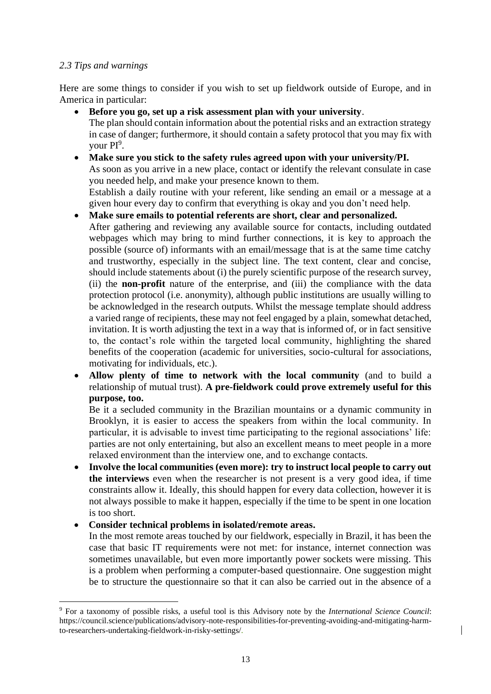## *2.3 Tips and warnings*

Here are some things to consider if you wish to set up fieldwork outside of Europe, and in America in particular:

• **Before you go, set up a risk assessment plan with your university**.

The plan should contain information about the potential risks and an extraction strategy in case of danger; furthermore, it should contain a safety protocol that you may fix with your PI<sup>9</sup>.

- **Make sure you stick to the safety rules agreed upon with your university/PI.**  As soon as you arrive in a new place, contact or identify the relevant consulate in case you needed help, and make your presence known to them. Establish a daily routine with your referent, like sending an email or a message at a given hour every day to confirm that everything is okay and you don't need help.
- **Make sure emails to potential referents are short, clear and personalized.** After gathering and reviewing any available source for contacts, including outdated webpages which may bring to mind further connections, it is key to approach the possible (source of) informants with an email/message that is at the same time catchy and trustworthy, especially in the subject line. The text content, clear and concise, should include statements about (i) the purely scientific purpose of the research survey, (ii) the **non-profit** nature of the enterprise, and (iii) the compliance with the data protection protocol (i.e. anonymity), although public institutions are usually willing to be acknowledged in the research outputs. Whilst the message template should address a varied range of recipients, these may not feel engaged by a plain, somewhat detached, invitation. It is worth adjusting the text in a way that is informed of, or in fact sensitive to, the contact's role within the targeted local community, highlighting the shared benefits of the cooperation (academic for universities, socio-cultural for associations, motivating for individuals, etc.).
- **Allow plenty of time to network with the local community** (and to build a relationship of mutual trust). **A pre-fieldwork could prove extremely useful for this purpose, too.**

Be it a secluded community in the Brazilian mountains or a dynamic community in Brooklyn, it is easier to access the speakers from within the local community. In particular, it is advisable to invest time participating to the regional associations' life: parties are not only entertaining, but also an excellent means to meet people in a more relaxed environment than the interview one, and to exchange contacts.

- **Involve the local communities (even more): try to instruct local people to carry out the interviews** even when the researcher is not present is a very good idea, if time constraints allow it. Ideally, this should happen for every data collection, however it is not always possible to make it happen, especially if the time to be spent in one location is too short.
- **Consider technical problems in isolated/remote areas.**

In the most remote areas touched by our fieldwork, especially in Brazil, it has been the case that basic IT requirements were not met: for instance, internet connection was sometimes unavailable, but even more importantly power sockets were missing. This is a problem when performing a computer-based questionnaire. One suggestion might be to structure the questionnaire so that it can also be carried out in the absence of a

<sup>9</sup> For a taxonomy of possible risks, a useful tool is this Advisory note by the *International Science Council*: https://council.science/publications/advisory-note-responsibilities-for-preventing-avoiding-and-mitigating-harmto-researchers-undertaking-fieldwork-in-risky-settings/.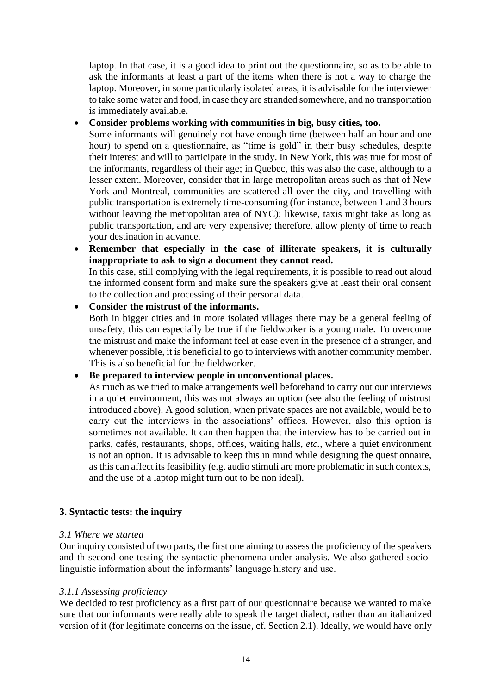laptop. In that case, it is a good idea to print out the questionnaire, so as to be able to ask the informants at least a part of the items when there is not a way to charge the laptop. Moreover, in some particularly isolated areas, it is advisable for the interviewer to take some water and food, in case they are stranded somewhere, and no transportation is immediately available.

# • **Consider problems working with communities in big, busy cities, too.**

- Some informants will genuinely not have enough time (between half an hour and one hour) to spend on a questionnaire, as "time is gold" in their busy schedules, despite their interest and will to participate in the study. In New York, this was true for most of the informants, regardless of their age; in Quebec, this was also the case, although to a lesser extent. Moreover, consider that in large metropolitan areas such as that of New York and Montreal, communities are scattered all over the city, and travelling with public transportation is extremely time-consuming (for instance, between 1 and 3 hours without leaving the metropolitan area of NYC); likewise, taxis might take as long as public transportation, and are very expensive; therefore, allow plenty of time to reach your destination in advance.
- **Remember that especially in the case of illiterate speakers, it is culturally inappropriate to ask to sign a document they cannot read.**  In this case, still complying with the legal requirements, it is possible to read out aloud

the informed consent form and make sure the speakers give at least their oral consent to the collection and processing of their personal data.

• **Consider the mistrust of the informants.**

Both in bigger cities and in more isolated villages there may be a general feeling of unsafety; this can especially be true if the fieldworker is a young male. To overcome the mistrust and make the informant feel at ease even in the presence of a stranger, and whenever possible, it is beneficial to go to interviews with another community member. This is also beneficial for the fieldworker.

# • **Be prepared to interview people in unconventional places.**

As much as we tried to make arrangements well beforehand to carry out our interviews in a quiet environment, this was not always an option (see also the feeling of mistrust introduced above). A good solution, when private spaces are not available, would be to carry out the interviews in the associations' offices. However, also this option is sometimes not available. It can then happen that the interview has to be carried out in parks, cafés, restaurants, shops, offices, waiting halls, *etc.*, where a quiet environment is not an option. It is advisable to keep this in mind while designing the questionnaire, as this can affect its feasibility (e.g. audio stimuli are more problematic in such contexts, and the use of a laptop might turn out to be non ideal).

# **3. Syntactic tests: the inquiry**

# *3.1 Where we started*

Our inquiry consisted of two parts, the first one aiming to assess the proficiency of the speakers and th second one testing the syntactic phenomena under analysis. We also gathered sociolinguistic information about the informants' language history and use.

# *3.1.1 Assessing proficiency*

We decided to test proficiency as a first part of our questionnaire because we wanted to make sure that our informants were really able to speak the target dialect, rather than an italianized version of it (for legitimate concerns on the issue, cf. Section 2.1). Ideally, we would have only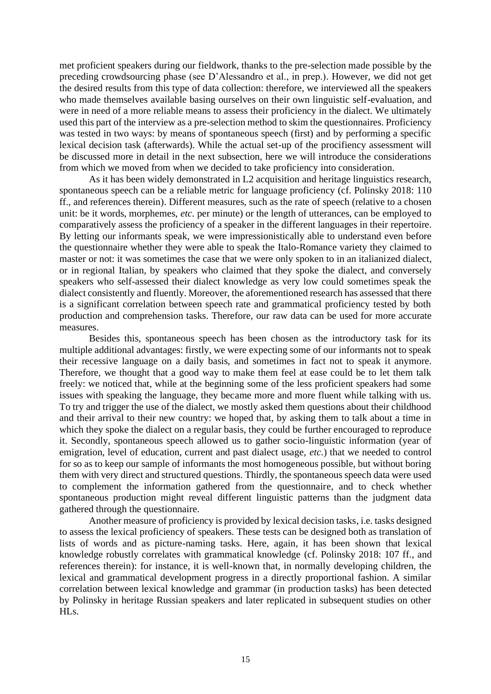met proficient speakers during our fieldwork, thanks to the pre-selection made possible by the preceding crowdsourcing phase (see D'Alessandro et al., in prep.). However, we did not get the desired results from this type of data collection: therefore, we interviewed all the speakers who made themselves available basing ourselves on their own linguistic self-evaluation, and were in need of a more reliable means to assess their proficiency in the dialect. We ultimately used this part of the interview as a pre-selection method to skim the questionnaires. Proficiency was tested in two ways: by means of spontaneous speech (first) and by performing a specific lexical decision task (afterwards). While the actual set-up of the procifiency assessment will be discussed more in detail in the next subsection, here we will introduce the considerations from which we moved from when we decided to take proficiency into consideration.

As it has been widely demonstrated in L2 acquisition and heritage linguistics research, spontaneous speech can be a reliable metric for language proficiency (cf. Polinsky 2018: 110 ff., and references therein). Different measures, such as the rate of speech (relative to a chosen unit: be it words, morphemes, *etc.* per minute) or the length of utterances, can be employed to comparatively assess the proficiency of a speaker in the different languages in their repertoire. By letting our informants speak, we were impressionistically able to understand even before the questionnaire whether they were able to speak the Italo-Romance variety they claimed to master or not: it was sometimes the case that we were only spoken to in an italianized dialect, or in regional Italian, by speakers who claimed that they spoke the dialect, and conversely speakers who self-assessed their dialect knowledge as very low could sometimes speak the dialect consistently and fluently. Moreover, the aforementioned research has assessed that there is a significant correlation between speech rate and grammatical proficiency tested by both production and comprehension tasks. Therefore, our raw data can be used for more accurate measures.

Besides this, spontaneous speech has been chosen as the introductory task for its multiple additional advantages: firstly, we were expecting some of our informants not to speak their recessive language on a daily basis, and sometimes in fact not to speak it anymore. Therefore, we thought that a good way to make them feel at ease could be to let them talk freely: we noticed that, while at the beginning some of the less proficient speakers had some issues with speaking the language, they became more and more fluent while talking with us. To try and trigger the use of the dialect, we mostly asked them questions about their childhood and their arrival to their new country: we hoped that, by asking them to talk about a time in which they spoke the dialect on a regular basis, they could be further encouraged to reproduce it. Secondly, spontaneous speech allowed us to gather socio-linguistic information (year of emigration, level of education, current and past dialect usage, *etc.*) that we needed to control for so as to keep our sample of informants the most homogeneous possible, but without boring them with very direct and structured questions. Thirdly, the spontaneous speech data were used to complement the information gathered from the questionnaire, and to check whether spontaneous production might reveal different linguistic patterns than the judgment data gathered through the questionnaire.

Another measure of proficiency is provided by lexical decision tasks, i.e. tasks designed to assess the lexical proficiency of speakers. These tests can be designed both as translation of lists of words and as picture-naming tasks. Here, again, it has been shown that lexical knowledge robustly correlates with grammatical knowledge (cf. Polinsky 2018: 107 ff., and references therein): for instance, it is well-known that, in normally developing children, the lexical and grammatical development progress in a directly proportional fashion. A similar correlation between lexical knowledge and grammar (in production tasks) has been detected by Polinsky in heritage Russian speakers and later replicated in subsequent studies on other HLs.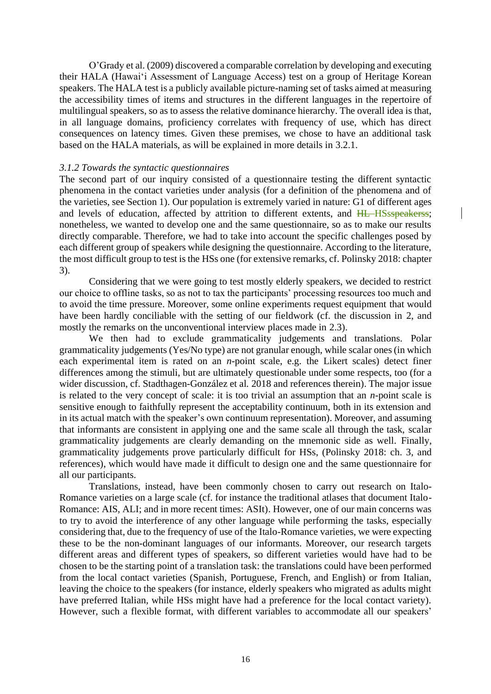O'Grady et al. (2009) discovered a comparable correlation by developing and executing their HALA (Hawai'i Assessment of Language Access) test on a group of Heritage Korean speakers. The HALA test is a publicly available picture-naming set of tasks aimed at measuring the accessibility times of items and structures in the different languages in the repertoire of multilingual speakers, so as to assess the relative dominance hierarchy. The overall idea is that, in all language domains, proficiency correlates with frequency of use, which has direct consequences on latency times. Given these premises, we chose to have an additional task based on the HALA materials, as will be explained in more details in 3.2.1.

### *3.1.2 Towards the syntactic questionnaires*

The second part of our inquiry consisted of a questionnaire testing the different syntactic phenomena in the contact varieties under analysis (for a definition of the phenomena and of the varieties, see Section 1). Our population is extremely varied in nature: G1 of different ages and levels of education, affected by attrition to different extents, and HL-HSsspeakerss; nonetheless, we wanted to develop one and the same questionnaire, so as to make our results directly comparable. Therefore, we had to take into account the specific challenges posed by each different group of speakers while designing the questionnaire. According to the literature, the most difficult group to test is the HSs one (for extensive remarks, cf. Polinsky 2018: chapter 3).

Considering that we were going to test mostly elderly speakers, we decided to restrict our choice to offline tasks, so as not to tax the participants' processing resources too much and to avoid the time pressure. Moreover, some online experiments request equipment that would have been hardly conciliable with the setting of our fieldwork (cf. the discussion in 2, and mostly the remarks on the unconventional interview places made in 2.3).

We then had to exclude grammaticality judgements and translations. Polar grammaticality judgements (Yes/No type) are not granular enough, while scalar ones (in which each experimental item is rated on an *n*-point scale, e.g. the Likert scales) detect finer differences among the stimuli, but are ultimately questionable under some respects, too (for a wider discussion, cf. Stadthagen-González et al*.* 2018 and references therein). The major issue is related to the very concept of scale: it is too trivial an assumption that an *n*-point scale is sensitive enough to faithfully represent the acceptability continuum, both in its extension and in its actual match with the speaker's own continuum representation). Moreover, and assuming that informants are consistent in applying one and the same scale all through the task, scalar grammaticality judgements are clearly demanding on the mnemonic side as well. Finally, grammaticality judgements prove particularly difficult for HSs, (Polinsky 2018: ch. 3, and references), which would have made it difficult to design one and the same questionnaire for all our participants.

Translations, instead, have been commonly chosen to carry out research on Italo-Romance varieties on a large scale (cf. for instance the traditional atlases that document Italo-Romance: AIS, ALI; and in more recent times: ASIt). However, one of our main concerns was to try to avoid the interference of any other language while performing the tasks, especially considering that, due to the frequency of use of the Italo-Romance varieties, we were expecting these to be the non-dominant languages of our informants. Moreover, our research targets different areas and different types of speakers, so different varieties would have had to be chosen to be the starting point of a translation task: the translations could have been performed from the local contact varieties (Spanish, Portuguese, French, and English) or from Italian, leaving the choice to the speakers (for instance, elderly speakers who migrated as adults might have preferred Italian, while HSs might have had a preference for the local contact variety). However, such a flexible format, with different variables to accommodate all our speakers'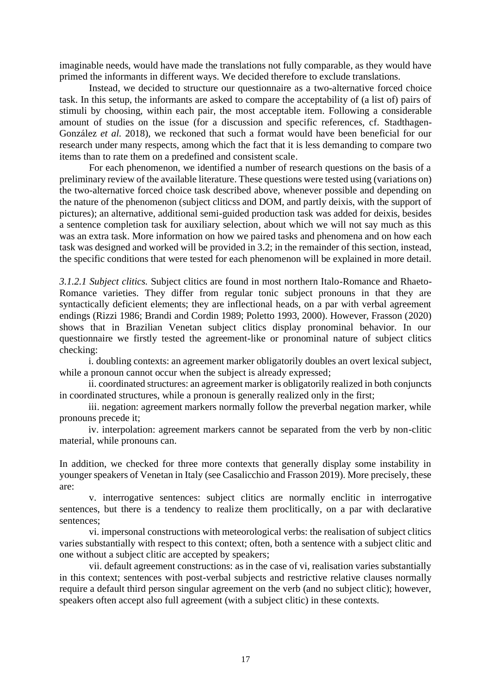imaginable needs, would have made the translations not fully comparable, as they would have primed the informants in different ways. We decided therefore to exclude translations.

Instead, we decided to structure our questionnaire as a two-alternative forced choice task. In this setup, the informants are asked to compare the acceptability of (a list of) pairs of stimuli by choosing, within each pair, the most acceptable item. Following a considerable amount of studies on the issue (for a discussion and specific references, cf. Stadthagen-González *et al.* 2018), we reckoned that such a format would have been beneficial for our research under many respects, among which the fact that it is less demanding to compare two items than to rate them on a predefined and consistent scale.

For each phenomenon, we identified a number of research questions on the basis of a preliminary review of the available literature. These questions were tested using (variations on) the two-alternative forced choice task described above, whenever possible and depending on the nature of the phenomenon (subject cliticss and DOM, and partly deixis, with the support of pictures); an alternative, additional semi-guided production task was added for deixis, besides a sentence completion task for auxiliary selection, about which we will not say much as this was an extra task. More information on how we paired tasks and phenomena and on how each task was designed and worked will be provided in 3.2; in the remainder of this section, instead, the specific conditions that were tested for each phenomenon will be explained in more detail.

*3.1.2.1 Subject clitics.* Subject clitics are found in most northern Italo-Romance and Rhaeto-Romance varieties. They differ from regular tonic subject pronouns in that they are syntactically deficient elements; they are inflectional heads, on a par with verbal agreement endings (Rizzi 1986; Brandi and Cordin 1989; Poletto 1993, 2000). However, Frasson (2020) shows that in Brazilian Venetan subject clitics display pronominal behavior. In our questionnaire we firstly tested the agreement-like or pronominal nature of subject clitics checking:

i. doubling contexts: an agreement marker obligatorily doubles an overt lexical subject, while a pronoun cannot occur when the subject is already expressed;

ii. coordinated structures: an agreement marker is obligatorily realized in both conjuncts in coordinated structures, while a pronoun is generally realized only in the first;

iii. negation: agreement markers normally follow the preverbal negation marker, while pronouns precede it;

iv. interpolation: agreement markers cannot be separated from the verb by non-clitic material, while pronouns can.

In addition, we checked for three more contexts that generally display some instability in younger speakers of Venetan in Italy (see Casalicchio and Frasson 2019). More precisely, these are:

v. interrogative sentences: subject clitics are normally enclitic in interrogative sentences, but there is a tendency to realize them proclitically, on a par with declarative sentences;

vi. impersonal constructions with meteorological verbs: the realisation of subject clitics varies substantially with respect to this context; often, both a sentence with a subject clitic and one without a subject clitic are accepted by speakers;

vii. default agreement constructions: as in the case of vi, realisation varies substantially in this context; sentences with post-verbal subjects and restrictive relative clauses normally require a default third person singular agreement on the verb (and no subject clitic); however, speakers often accept also full agreement (with a subject clitic) in these contexts.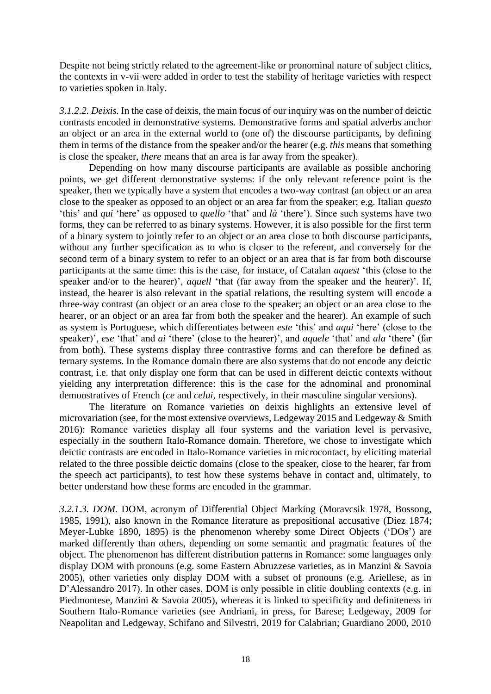Despite not being strictly related to the agreement-like or pronominal nature of subject clitics, the contexts in v-vii were added in order to test the stability of heritage varieties with respect to varieties spoken in Italy.

*3.1.2.2. Deixis.* In the case of deixis, the main focus of our inquiry was on the number of deictic contrasts encoded in demonstrative systems. Demonstrative forms and spatial adverbs anchor an object or an area in the external world to (one of) the discourse participants, by defining them in terms of the distance from the speaker and/or the hearer (e.g. *this* means that something is close the speaker, *there* means that an area is far away from the speaker).

Depending on how many discourse participants are available as possible anchoring points, we get different demonstrative systems: if the only relevant reference point is the speaker, then we typically have a system that encodes a two-way contrast (an object or an area close to the speaker as opposed to an object or an area far from the speaker; e.g. Italian *questo* 'this' and *qui* 'here' as opposed to *quello* 'that' and *là* 'there'). Since such systems have two forms, they can be referred to as binary systems. However, it is also possible for the first term of a binary system to jointly refer to an object or an area close to both discourse participants, without any further specification as to who is closer to the referent, and conversely for the second term of a binary system to refer to an object or an area that is far from both discourse participants at the same time: this is the case, for instace, of Catalan *aquest* 'this (close to the speaker and/or to the hearer)', *aquell* 'that (far away from the speaker and the hearer)'. If, instead, the hearer is also relevant in the spatial relations, the resulting system will encode a three-way contrast (an object or an area close to the speaker; an object or an area close to the hearer, or an object or an area far from both the speaker and the hearer). An example of such as system is Portuguese, which differentiates between *este* 'this' and *aqui* 'here' (close to the speaker)', *ese* 'that' and *ai* 'there' (close to the hearer)', and *aquele* 'that' and *ala* 'there' (far from both). These systems display three contrastive forms and can therefore be defined as ternary systems. In the Romance domain there are also systems that do not encode any deictic contrast, i.e. that only display one form that can be used in different deictic contexts without yielding any interpretation difference: this is the case for the adnominal and pronominal demonstratives of French (*ce* and *celui*, respectively, in their masculine singular versions).

The literature on Romance varieties on deixis highlights an extensive level of microvariation (see, for the most extensive overviews, Ledgeway 2015 and Ledgeway & Smith 2016): Romance varieties display all four systems and the variation level is pervasive, especially in the southern Italo-Romance domain. Therefore, we chose to investigate which deictic contrasts are encoded in Italo-Romance varieties in microcontact, by eliciting material related to the three possible deictic domains (close to the speaker, close to the hearer, far from the speech act participants), to test how these systems behave in contact and, ultimately, to better understand how these forms are encoded in the grammar.

*3.2.1.3. DOM.* DOM, acronym of Differential Object Marking (Moravcsik 1978, Bossong, 1985, 1991), also known in the Romance literature as prepositional accusative (Diez 1874; Meyer-Lubke 1890, 1895) is the phenomenon whereby some Direct Objects ('DOs') are marked differently than others, depending on some semantic and pragmatic features of the object. The phenomenon has different distribution patterns in Romance: some languages only display DOM with pronouns (e.g. some Eastern Abruzzese varieties, as in Manzini & Savoia 2005), other varieties only display DOM with a subset of pronouns (e.g. Ariellese, as in D'Alessandro 2017). In other cases, DOM is only possible in clitic doubling contexts (e.g. in Piedmontese, Manzini & Savoia 2005), whereas it is linked to specificity and definiteness in Southern Italo-Romance varieties (see Andriani, in press, for Barese; Ledgeway, 2009 for Neapolitan and Ledgeway, Schifano and Silvestri, 2019 for Calabrian; Guardiano 2000, 2010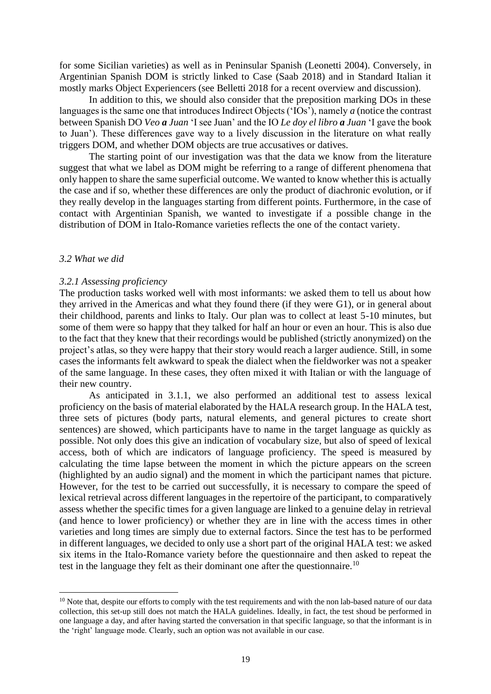for some Sicilian varieties) as well as in Peninsular Spanish (Leonetti 2004). Conversely, in Argentinian Spanish DOM is strictly linked to Case (Saab 2018) and in Standard Italian it mostly marks Object Experiencers (see Belletti 2018 for a recent overview and discussion).

In addition to this, we should also consider that the preposition marking DOs in these languages is the same one that introduces Indirect Objects ('IOs'), namely *a* (notice the contrast between Spanish DO *Veo a Juan* 'I see Juan' and the IO *Le doy el libro a Juan* 'I gave the book to Juan'). These differences gave way to a lively discussion in the literature on what really triggers DOM, and whether DOM objects are true accusatives or datives.

The starting point of our investigation was that the data we know from the literature suggest that what we label as DOM might be referring to a range of different phenomena that only happen to share the same superficial outcome. We wanted to know whether this is actually the case and if so, whether these differences are only the product of diachronic evolution, or if they really develop in the languages starting from different points. Furthermore, in the case of contact with Argentinian Spanish, we wanted to investigate if a possible change in the distribution of DOM in Italo-Romance varieties reflects the one of the contact variety.

#### *3.2 What we did*

#### *3.2.1 Assessing proficiency*

The production tasks worked well with most informants: we asked them to tell us about how they arrived in the Americas and what they found there (if they were G1), or in general about their childhood, parents and links to Italy. Our plan was to collect at least 5-10 minutes, but some of them were so happy that they talked for half an hour or even an hour. This is also due to the fact that they knew that their recordings would be published (strictly anonymized) on the project's atlas, so they were happy that their story would reach a larger audience. Still, in some cases the informants felt awkward to speak the dialect when the fieldworker was not a speaker of the same language. In these cases, they often mixed it with Italian or with the language of their new country.

As anticipated in 3.1.1, we also performed an additional test to assess lexical proficiency on the basis of material elaborated by the HALA research group. In the HALA test, three sets of pictures (body parts, natural elements, and general pictures to create short sentences) are showed, which participants have to name in the target language as quickly as possible. Not only does this give an indication of vocabulary size, but also of speed of lexical access, both of which are indicators of language proficiency. The speed is measured by calculating the time lapse between the moment in which the picture appears on the screen (highlighted by an audio signal) and the moment in which the participant names that picture. However, for the test to be carried out successfully, it is necessary to compare the speed of lexical retrieval across different languages in the repertoire of the participant, to comparatively assess whether the specific times for a given language are linked to a genuine delay in retrieval (and hence to lower proficiency) or whether they are in line with the access times in other varieties and long times are simply due to external factors. Since the test has to be performed in different languages, we decided to only use a short part of the original HALA test: we asked six items in the Italo-Romance variety before the questionnaire and then asked to repeat the test in the language they felt as their dominant one after the questionnaire.<sup>10</sup>

<sup>&</sup>lt;sup>10</sup> Note that, despite our efforts to comply with the test requirements and with the non lab-based nature of our data collection, this set-up still does not match the HALA guidelines. Ideally, in fact, the test shoud be performed in one language a day, and after having started the conversation in that specific language, so that the informant is in the 'right' language mode. Clearly, such an option was not available in our case.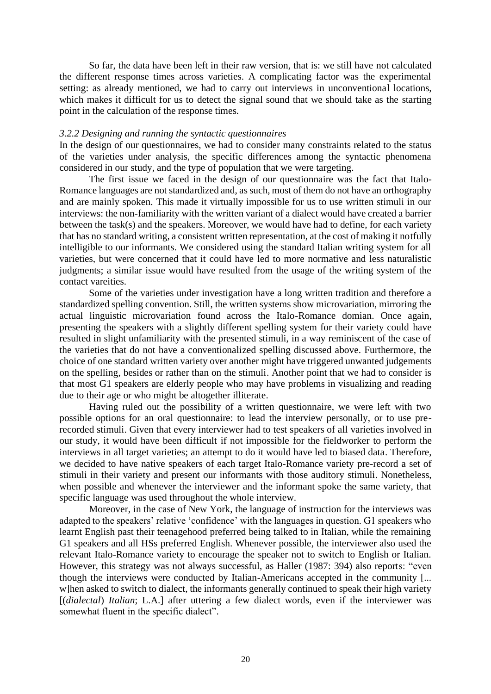So far, the data have been left in their raw version, that is: we still have not calculated the different response times across varieties. A complicating factor was the experimental setting: as already mentioned, we had to carry out interviews in unconventional locations, which makes it difficult for us to detect the signal sound that we should take as the starting point in the calculation of the response times.

#### *3.2.2 Designing and running the syntactic questionnaires*

In the design of our questionnaires, we had to consider many constraints related to the status of the varieties under analysis, the specific differences among the syntactic phenomena considered in our study, and the type of population that we were targeting.

The first issue we faced in the design of our questionnaire was the fact that Italo-Romance languages are not standardized and, as such, most of them do not have an orthography and are mainly spoken. This made it virtually impossible for us to use written stimuli in our interviews: the non-familiarity with the written variant of a dialect would have created a barrier between the task(s) and the speakers. Moreover, we would have had to define, for each variety that has no standard writing, a consistent written representation, at the cost of making it notfully intelligible to our informants. We considered using the standard Italian writing system for all varieties, but were concerned that it could have led to more normative and less naturalistic judgments; a similar issue would have resulted from the usage of the writing system of the contact vareities.

Some of the varieties under investigation have a long written tradition and therefore a standardized spelling convention. Still, the written systems show microvariation, mirroring the actual linguistic microvariation found across the Italo-Romance domian. Once again, presenting the speakers with a slightly different spelling system for their variety could have resulted in slight unfamiliarity with the presented stimuli, in a way reminiscent of the case of the varieties that do not have a conventionalized spelling discussed above. Furthermore, the choice of one standard written variety over another might have triggered unwanted judgements on the spelling, besides or rather than on the stimuli. Another point that we had to consider is that most G1 speakers are elderly people who may have problems in visualizing and reading due to their age or who might be altogether illiterate.

Having ruled out the possibility of a written questionnaire, we were left with two possible options for an oral questionnaire: to lead the interview personally, or to use prerecorded stimuli. Given that every interviewer had to test speakers of all varieties involved in our study, it would have been difficult if not impossible for the fieldworker to perform the interviews in all target varieties; an attempt to do it would have led to biased data. Therefore, we decided to have native speakers of each target Italo-Romance variety pre-record a set of stimuli in their variety and present our informants with those auditory stimuli. Nonetheless, when possible and whenever the interviewer and the informant spoke the same variety, that specific language was used throughout the whole interview.

Moreover, in the case of New York, the language of instruction for the interviews was adapted to the speakers' relative 'confidence' with the languages in question. G1 speakers who learnt English past their teenagehood preferred being talked to in Italian, while the remaining G1 speakers and all HSs preferred English. Whenever possible, the interviewer also used the relevant Italo-Romance variety to encourage the speaker not to switch to English or Italian. However, this strategy was not always successful, as Haller (1987: 394) also reports: "even though the interviews were conducted by Italian-Americans accepted in the community [... w]hen asked to switch to dialect, the informants generally continued to speak their high variety [*(dialectal) Italian*; L.A.] after uttering a few dialect words, even if the interviewer was somewhat fluent in the specific dialect".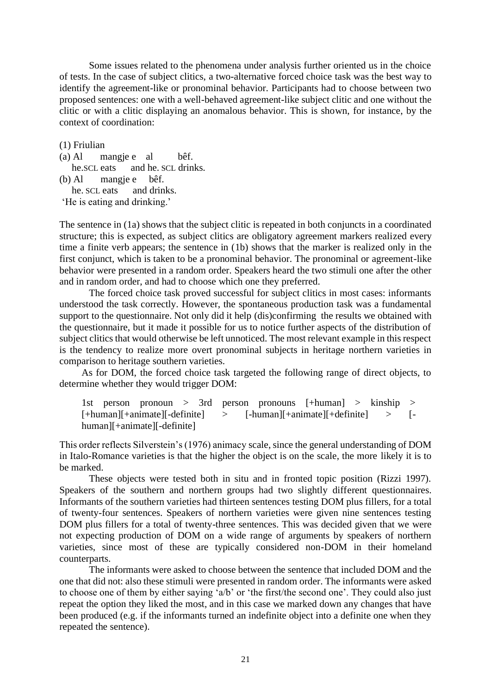Some issues related to the phenomena under analysis further oriented us in the choice of tests. In the case of subject clitics, a two-alternative forced choice task was the best way to identify the agreement-like or pronominal behavior. Participants had to choose between two proposed sentences: one with a well-behaved agreement-like subject clitic and one without the clitic or with a clitic displaying an anomalous behavior. This is shown, for instance, by the context of coordination:

(1) Friulian (a) Al mangje e al bêf. he.SCL eats and he. SCL drinks. (b) Al mangie e bêf. he. SCL eats and drinks. 'He is eating and drinking.'

The sentence in (1a) shows that the subject clitic is repeated in both conjuncts in a coordinated structure; this is expected, as subject clitics are obligatory agreement markers realized every time a finite verb appears; the sentence in (1b) shows that the marker is realized only in the first conjunct, which is taken to be a pronominal behavior. The pronominal or agreement-like behavior were presented in a random order. Speakers heard the two stimuli one after the other and in random order, and had to choose which one they preferred.

The forced choice task proved successful for subject clitics in most cases: informants understood the task correctly. However, the spontaneous production task was a fundamental support to the questionnaire. Not only did it help (dis)confirming the results we obtained with the questionnaire, but it made it possible for us to notice further aspects of the distribution of subject clitics that would otherwise be left unnoticed. The most relevant example in this respect is the tendency to realize more overt pronominal subjects in heritage northern varieties in comparison to heritage southern varieties.

As for DOM, the forced choice task targeted the following range of direct objects, to determine whether they would trigger DOM:

1st person pronoun > 3rd person pronouns [+human] > kinship > [+human][+animate][-definite] > [-human][+animate][+definite] > [ human][+animate][-definite]

This order reflects Silverstein's (1976) animacy scale, since the general understanding of DOM in Italo-Romance varieties is that the higher the object is on the scale, the more likely it is to be marked.

These objects were tested both in situ and in fronted topic position (Rizzi 1997). Speakers of the southern and northern groups had two slightly different questionnaires. Informants of the southern varieties had thirteen sentences testing DOM plus fillers, for a total of twenty-four sentences. Speakers of northern varieties were given nine sentences testing DOM plus fillers for a total of twenty-three sentences. This was decided given that we were not expecting production of DOM on a wide range of arguments by speakers of northern varieties, since most of these are typically considered non-DOM in their homeland counterparts.

The informants were asked to choose between the sentence that included DOM and the one that did not: also these stimuli were presented in random order. The informants were asked to choose one of them by either saying 'a/b' or 'the first/the second one'. They could also just repeat the option they liked the most, and in this case we marked down any changes that have been produced (e.g. if the informants turned an indefinite object into a definite one when they repeated the sentence).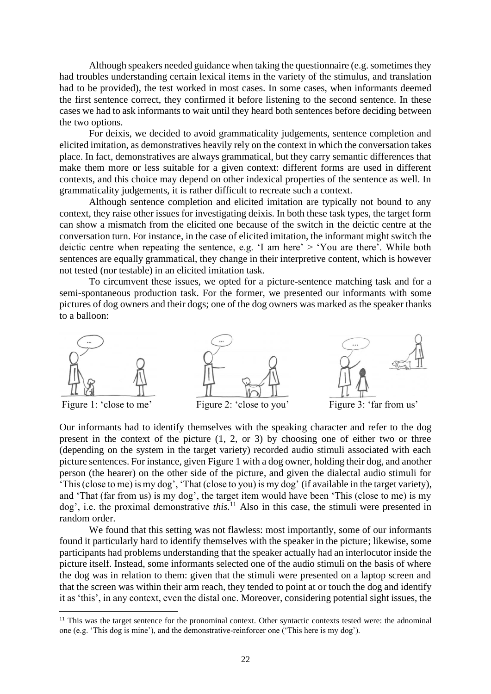Although speakers needed guidance when taking the questionnaire (e.g. sometimes they had troubles understanding certain lexical items in the variety of the stimulus, and translation had to be provided), the test worked in most cases. In some cases, when informants deemed the first sentence correct, they confirmed it before listening to the second sentence. In these cases we had to ask informants to wait until they heard both sentences before deciding between the two options.

For deixis, we decided to avoid grammaticality judgements, sentence completion and elicited imitation, as demonstratives heavily rely on the context in which the conversation takes place. In fact, demonstratives are always grammatical, but they carry semantic differences that make them more or less suitable for a given context: different forms are used in different contexts, and this choice may depend on other indexical properties of the sentence as well. In grammaticality judgements, it is rather difficult to recreate such a context.

Although sentence completion and elicited imitation are typically not bound to any context, they raise other issues for investigating deixis. In both these task types, the target form can show a mismatch from the elicited one because of the switch in the deictic centre at the conversation turn. For instance, in the case of elicited imitation, the informant might switch the deictic centre when repeating the sentence, e.g. 'I am here' > 'You are there'. While both sentences are equally grammatical, they change in their interpretive content, which is however not tested (nor testable) in an elicited imitation task.

To circumvent these issues, we opted for a picture-sentence matching task and for a semi-spontaneous production task. For the former, we presented our informants with some pictures of dog owners and their dogs; one of the dog owners was marked as the speaker thanks to a balloon:



Figure 1: 'close to me' Figure 2: 'close to you' Figure 3: 'far from us'

Our informants had to identify themselves with the speaking character and refer to the dog present in the context of the picture (1, 2, or 3) by choosing one of either two or three (depending on the system in the target variety) recorded audio stimuli associated with each picture sentences. For instance, given Figure 1 with a dog owner, holding their dog, and another person (the hearer) on the other side of the picture, and given the dialectal audio stimuli for 'This (close to me) is my dog', 'That (close to you) is my dog' (if available in the target variety), and 'That (far from us) is my dog', the target item would have been 'This (close to me) is my dog', i.e. the proximal demonstrative *this*. <sup>11</sup> Also in this case, the stimuli were presented in random order.

We found that this setting was not flawless: most importantly, some of our informants found it particularly hard to identify themselves with the speaker in the picture; likewise, some participants had problems understanding that the speaker actually had an interlocutor inside the picture itself. Instead, some informants selected one of the audio stimuli on the basis of where the dog was in relation to them: given that the stimuli were presented on a laptop screen and that the screen was within their arm reach, they tended to point at or touch the dog and identify it as 'this', in any context, even the distal one. Moreover, considering potential sight issues, the

<sup>&</sup>lt;sup>11</sup> This was the target sentence for the pronominal context. Other syntactic contexts tested were: the adnominal one (e.g. 'This dog is mine'), and the demonstrative-reinforcer one ('This here is my dog').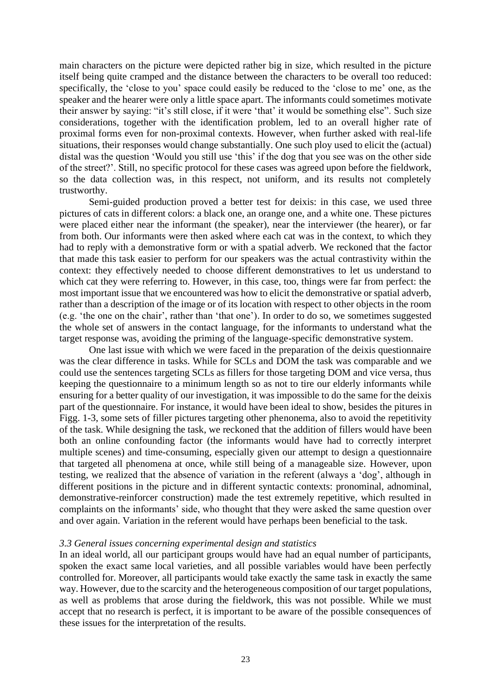main characters on the picture were depicted rather big in size, which resulted in the picture itself being quite cramped and the distance between the characters to be overall too reduced: specifically, the 'close to you' space could easily be reduced to the 'close to me' one, as the speaker and the hearer were only a little space apart. The informants could sometimes motivate their answer by saying: "it's still close, if it were 'that' it would be something else". Such size considerations, together with the identification problem, led to an overall higher rate of proximal forms even for non-proximal contexts. However, when further asked with real-life situations, their responses would change substantially. One such ploy used to elicit the (actual) distal was the question 'Would you still use 'this' if the dog that you see was on the other side of the street?'. Still, no specific protocol for these cases was agreed upon before the fieldwork, so the data collection was, in this respect, not uniform, and its results not completely trustworthy.

Semi-guided production proved a better test for deixis: in this case, we used three pictures of cats in different colors: a black one, an orange one, and a white one. These pictures were placed either near the informant (the speaker), near the interviewer (the hearer), or far from both. Our informants were then asked where each cat was in the context, to which they had to reply with a demonstrative form or with a spatial adverb. We reckoned that the factor that made this task easier to perform for our speakers was the actual contrastivity within the context: they effectively needed to choose different demonstratives to let us understand to which cat they were referring to. However, in this case, too, things were far from perfect: the most important issue that we encountered was how to elicit the demonstrative or spatial adverb, rather than a description of the image or of its location with respect to other objects in the room (e.g. 'the one on the chair', rather than 'that one'). In order to do so, we sometimes suggested the whole set of answers in the contact language, for the informants to understand what the target response was, avoiding the priming of the language-specific demonstrative system.

One last issue with which we were faced in the preparation of the deixis questionnaire was the clear difference in tasks. While for SCLs and DOM the task was comparable and we could use the sentences targeting SCLs as fillers for those targeting DOM and vice versa, thus keeping the questionnaire to a minimum length so as not to tire our elderly informants while ensuring for a better quality of our investigation, it was impossible to do the same for the deixis part of the questionnaire. For instance, it would have been ideal to show, besides the pitures in Figg. 1-3, some sets of filler pictures targeting other phenonema, also to avoid the repetitivity of the task. While designing the task, we reckoned that the addition of fillers would have been both an online confounding factor (the informants would have had to correctly interpret multiple scenes) and time-consuming, especially given our attempt to design a questionnaire that targeted all phenomena at once, while still being of a manageable size. However, upon testing, we realized that the absence of variation in the referent (always a 'dog', although in different positions in the picture and in different syntactic contexts: pronominal, adnominal, demonstrative-reinforcer construction) made the test extremely repetitive, which resulted in complaints on the informants' side, who thought that they were asked the same question over and over again. Variation in the referent would have perhaps been beneficial to the task.

### *3.3 General issues concerning experimental design and statistics*

In an ideal world, all our participant groups would have had an equal number of participants, spoken the exact same local varieties, and all possible variables would have been perfectly controlled for. Moreover, all participants would take exactly the same task in exactly the same way. However, due to the scarcity and the heterogeneous composition of our target populations, as well as problems that arose during the fieldwork, this was not possible. While we must accept that no research is perfect, it is important to be aware of the possible consequences of these issues for the interpretation of the results.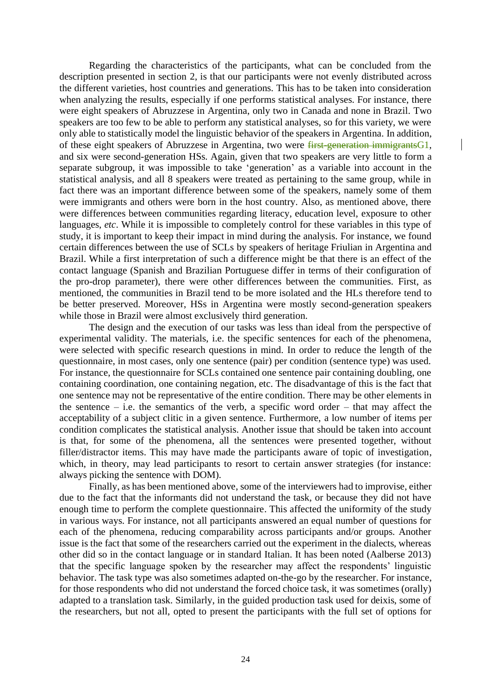Regarding the characteristics of the participants, what can be concluded from the description presented in section 2, is that our participants were not evenly distributed across the different varieties, host countries and generations. This has to be taken into consideration when analyzing the results, especially if one performs statistical analyses. For instance, there were eight speakers of Abruzzese in Argentina, only two in Canada and none in Brazil. Two speakers are too few to be able to perform any statistical analyses, so for this variety, we were only able to statistically model the linguistic behavior of the speakers in Argentina. In addition, of these eight speakers of Abruzzese in Argentina, two were first-generation immigrantsG1, and six were second-generation HSs. Again, given that two speakers are very little to form a separate subgroup, it was impossible to take 'generation' as a variable into account in the statistical analysis, and all 8 speakers were treated as pertaining to the same group, while in fact there was an important difference between some of the speakers, namely some of them were immigrants and others were born in the host country. Also, as mentioned above, there were differences between communities regarding literacy, education level, exposure to other languages, *etc*. While it is impossible to completely control for these variables in this type of study, it is important to keep their impact in mind during the analysis. For instance, we found certain differences between the use of SCLs by speakers of heritage Friulian in Argentina and Brazil. While a first interpretation of such a difference might be that there is an effect of the contact language (Spanish and Brazilian Portuguese differ in terms of their configuration of the pro-drop parameter), there were other differences between the communities. First, as mentioned, the communities in Brazil tend to be more isolated and the HLs therefore tend to be better preserved. Moreover, HSs in Argentina were mostly second-generation speakers while those in Brazil were almost exclusively third generation.

The design and the execution of our tasks was less than ideal from the perspective of experimental validity. The materials, i.e. the specific sentences for each of the phenomena, were selected with specific research questions in mind. In order to reduce the length of the questionnaire, in most cases, only one sentence (pair) per condition (sentence type) was used. For instance, the questionnaire for SCLs contained one sentence pair containing doubling, one containing coordination, one containing negation, etc. The disadvantage of this is the fact that one sentence may not be representative of the entire condition. There may be other elements in the sentence – i.e. the semantics of the verb, a specific word order – that may affect the acceptability of a subject clitic in a given sentence. Furthermore, a low number of items per condition complicates the statistical analysis. Another issue that should be taken into account is that, for some of the phenomena, all the sentences were presented together, without filler/distractor items. This may have made the participants aware of topic of investigation, which, in theory, may lead participants to resort to certain answer strategies (for instance: always picking the sentence with DOM).

Finally, as has been mentioned above, some of the interviewers had to improvise, either due to the fact that the informants did not understand the task, or because they did not have enough time to perform the complete questionnaire. This affected the uniformity of the study in various ways. For instance, not all participants answered an equal number of questions for each of the phenomena, reducing comparability across participants and/or groups. Another issue is the fact that some of the researchers carried out the experiment in the dialects, whereas other did so in the contact language or in standard Italian. It has been noted (Aalberse 2013) that the specific language spoken by the researcher may affect the respondents' linguistic behavior. The task type was also sometimes adapted on-the-go by the researcher. For instance, for those respondents who did not understand the forced choice task, it was sometimes (orally) adapted to a translation task. Similarly, in the guided production task used for deixis, some of the researchers, but not all, opted to present the participants with the full set of options for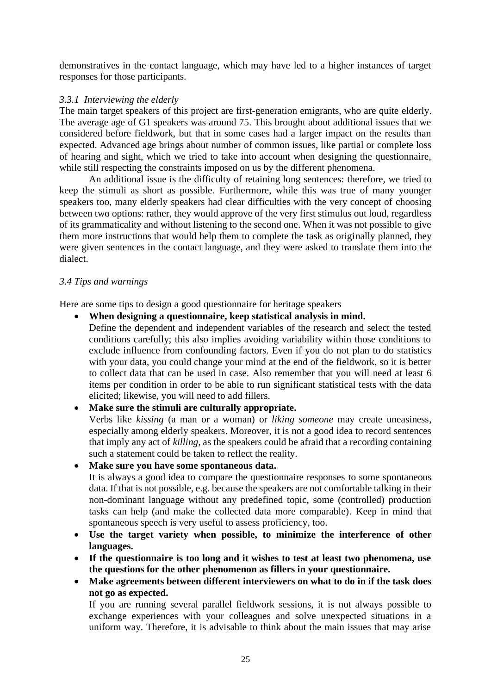demonstratives in the contact language, which may have led to a higher instances of target responses for those participants.

# *3.3.1 Interviewing the elderly*

The main target speakers of this project are first-generation emigrants, who are quite elderly. The average age of G1 speakers was around 75. This brought about additional issues that we considered before fieldwork, but that in some cases had a larger impact on the results than expected. Advanced age brings about number of common issues, like partial or complete loss of hearing and sight, which we tried to take into account when designing the questionnaire, while still respecting the constraints imposed on us by the different phenomena.

An additional issue is the difficulty of retaining long sentences: therefore, we tried to keep the stimuli as short as possible. Furthermore, while this was true of many younger speakers too, many elderly speakers had clear difficulties with the very concept of choosing between two options: rather, they would approve of the very first stimulus out loud, regardless of its grammaticality and without listening to the second one. When it was not possible to give them more instructions that would help them to complete the task as originally planned, they were given sentences in the contact language, and they were asked to translate them into the dialect.

## *3.4 Tips and warnings*

Here are some tips to design a good questionnaire for heritage speakers

- **When designing a questionnaire, keep statistical analysis in mind.**
	- Define the dependent and independent variables of the research and select the tested conditions carefully; this also implies avoiding variability within those conditions to exclude influence from confounding factors. Even if you do not plan to do statistics with your data, you could change your mind at the end of the fieldwork, so it is better to collect data that can be used in case. Also remember that you will need at least 6 items per condition in order to be able to run significant statistical tests with the data elicited; likewise, you will need to add fillers.

# • **Make sure the stimuli are culturally appropriate.**

Verbs like *kissing* (a man or a woman) or *liking someone* may create uneasiness, especially among elderly speakers. Moreover, it is not a good idea to record sentences that imply any act of *killing*, as the speakers could be afraid that a recording containing such a statement could be taken to reflect the reality.

### • **Make sure you have some spontaneous data.**

It is always a good idea to compare the questionnaire responses to some spontaneous data. If that is not possible, e.g. because the speakers are not comfortable talking in their non-dominant language without any predefined topic, some (controlled) production tasks can help (and make the collected data more comparable). Keep in mind that spontaneous speech is very useful to assess proficiency, too.

- **Use the target variety when possible, to minimize the interference of other languages.**
- **If the questionnaire is too long and it wishes to test at least two phenomena, use the questions for the other phenomenon as fillers in your questionnaire.**
- **Make agreements between different interviewers on what to do in if the task does not go as expected.**

If you are running several parallel fieldwork sessions, it is not always possible to exchange experiences with your colleagues and solve unexpected situations in a uniform way. Therefore, it is advisable to think about the main issues that may arise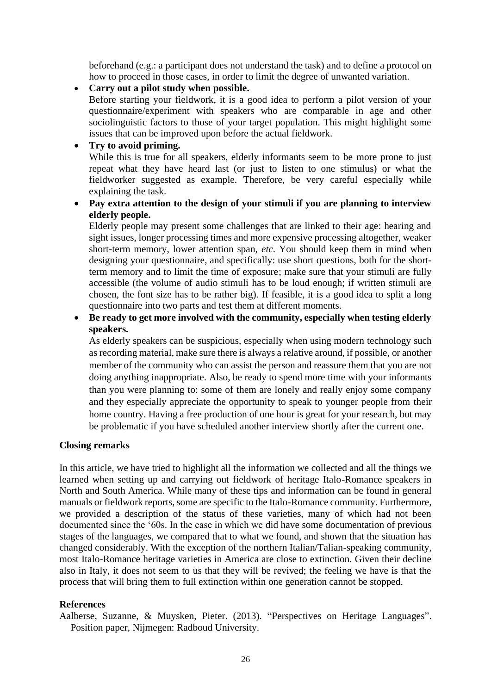beforehand (e.g.: a participant does not understand the task) and to define a protocol on how to proceed in those cases, in order to limit the degree of unwanted variation.

• **Carry out a pilot study when possible.**

Before starting your fieldwork, it is a good idea to perform a pilot version of your questionnaire/experiment with speakers who are comparable in age and other sociolinguistic factors to those of your target population. This might highlight some issues that can be improved upon before the actual fieldwork.

## • **Try to avoid priming.**

While this is true for all speakers, elderly informants seem to be more prone to just repeat what they have heard last (or just to listen to one stimulus) or what the fieldworker suggested as example. Therefore, be very careful especially while explaining the task.

• **Pay extra attention to the design of your stimuli if you are planning to interview elderly people.** 

Elderly people may present some challenges that are linked to their age: hearing and sight issues, longer processing times and more expensive processing altogether, weaker short-term memory, lower attention span, *etc*. You should keep them in mind when designing your questionnaire, and specifically: use short questions, both for the shortterm memory and to limit the time of exposure; make sure that your stimuli are fully accessible (the volume of audio stimuli has to be loud enough; if written stimuli are chosen, the font size has to be rather big). If feasible, it is a good idea to split a long questionnaire into two parts and test them at different moments.

• **Be ready to get more involved with the community, especially when testing elderly speakers.**

As elderly speakers can be suspicious, especially when using modern technology such as recording material, make sure there is always a relative around, if possible, or another member of the community who can assist the person and reassure them that you are not doing anything inappropriate. Also, be ready to spend more time with your informants than you were planning to: some of them are lonely and really enjoy some company and they especially appreciate the opportunity to speak to younger people from their home country. Having a free production of one hour is great for your research, but may be problematic if you have scheduled another interview shortly after the current one.

### **Closing remarks**

In this article, we have tried to highlight all the information we collected and all the things we learned when setting up and carrying out fieldwork of heritage Italo-Romance speakers in North and South America. While many of these tips and information can be found in general manuals or fieldwork reports, some are specific to the Italo-Romance community. Furthermore, we provided a description of the status of these varieties, many of which had not been documented since the '60s. In the case in which we did have some documentation of previous stages of the languages, we compared that to what we found, and shown that the situation has changed considerably. With the exception of the northern Italian/Talian-speaking community, most Italo-Romance heritage varieties in America are close to extinction. Given their decline also in Italy, it does not seem to us that they will be revived; the feeling we have is that the process that will bring them to full extinction within one generation cannot be stopped.

# **References**

Aalberse, Suzanne, & Muysken, Pieter. (2013). "Perspectives on Heritage Languages". Position paper, Nijmegen: Radboud University.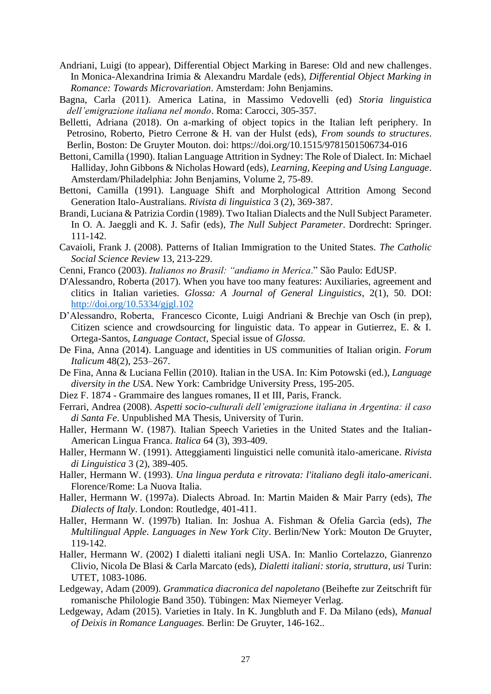- Andriani, Luigi (to appear), Differential Object Marking in Barese: Old and new challenges. In Monica-Alexandrina Irimia & Alexandru Mardale (eds), *Differential Object Marking in Romance: Towards Microvariation*. Amsterdam: John Benjamins.
- Bagna, Carla (2011). America Latina, in Massimo Vedovelli (ed) *Storia linguistica dell'emigrazione italiana nel mondo*. Roma: Carocci, 305-357.
- Belletti, Adriana (2018). On a-marking of object topics in the Italian left periphery. In Petrosino, Roberto, Pietro Cerrone & H. van der Hulst (eds), *From sounds to structures*. Berlin, Boston: De Gruyter Mouton. doi: https://doi.org/10.1515/9781501506734-016
- Bettoni, Camilla (1990). Italian Language Attrition in Sydney: The Role of Dialect. In: Michael Halliday, John Gibbons & Nicholas Howard (eds), *Learning, Keeping and Using Language*. Amsterdam/Philadelphia: John Benjamins, Volume 2, 75-89.
- Bettoni, Camilla (1991). Language Shift and Morphological Attrition Among Second Generation Italo-Australians. *Rivista di linguistica* 3 (2), 369-387.
- Brandi, Luciana & Patrizia Cordin (1989). Two Italian Dialects and the Null Subject Parameter. In O. A. Jaeggli and K. J. Safir (eds), *The Null Subject Parameter*. Dordrecht: Springer. 111-142.
- Cavaioli, Frank J. (2008). Patterns of Italian Immigration to the United States. *The Catholic Social Science Review* 13, 213-229.
- Cenni, Franco (2003). *Italianos no Brasil: "andiamo in Merica*." São Paulo: EdUSP.
- D'Alessandro, Roberta (2017). When you have too many features: Auxiliaries, agreement and clitics in Italian varieties. *Glossa: A Journal of General Linguistics*, 2(1), 50. DOI: <http://doi.org/10.5334/gjgl.102>
- D'Alessandro, Roberta, Francesco Ciconte, Luigi Andriani & Brechje van Osch (in prep), Citizen science and crowdsourcing for linguistic data. To appear in Gutierrez, E. & I. Ortega-Santos, *Language Contact,* Special issue of *Glossa.*
- De Fina, Anna (2014). Language and identities in US communities of Italian origin. *Forum Italicum* 48(2), 253–267.
- De Fina, Anna & Luciana Fellin (2010). Italian in the USA. In: Kim Potowski (ed.), *Language diversity in the USA*. New York: Cambridge University Press, 195-205.
- Diez F. 1874 Grammaire des langues romanes, II et III, Paris, Franck.
- Ferrari, Andrea (2008). *Aspetti socio-culturali dell'emigrazione italiana in Argentina: il caso di Santa Fe*. Unpublished MA Thesis, University of Turin.
- Haller, Hermann W. (1987). Italian Speech Varieties in the United States and the Italian-American Lingua Franca. *Italica* 64 (3), 393-409.
- Haller, Hermann W. (1991). Atteggiamenti linguistici nelle comunità italo-americane. *Rivista di Linguistica* 3 (2), 389-405.
- Haller, Hermann W. (1993). *Una lingua perduta e ritrovata: l'italiano degli italo-americani*. Florence/Rome: La Nuova Italia.
- Haller, Hermann W. (1997a). Dialects Abroad. In: Martin Maiden & Mair Parry (eds), *The Dialects of Italy*. London: Routledge, 401-411.
- Haller, Hermann W. (1997b) Italian. In: Joshua A. Fishman & Ofelia Garcìa (eds), *The Multilingual Apple. Languages in New York City*. Berlin/New York: Mouton De Gruyter, 119-142.
- Haller, Hermann W. (2002) I dialetti italiani negli USA. In: Manlio Cortelazzo, Gianrenzo Clivio, Nicola De Blasi & Carla Marcato (eds), *Dialetti italiani: storia, struttura, usi* Turin: UTET, 1083-1086.
- Ledgeway, Adam (2009). *Grammatica diacronica del napoletano* (Beihefte zur Zeitschrift für romanische Philologie Band 350). Tübingen: Max Niemeyer Verlag.
- Ledgeway, Adam (2015). Varieties in Italy. In K. Jungbluth and F. Da Milano (eds), *Manual of Deixis in Romance Languages.* Berlin: De Gruyter, 146-162..